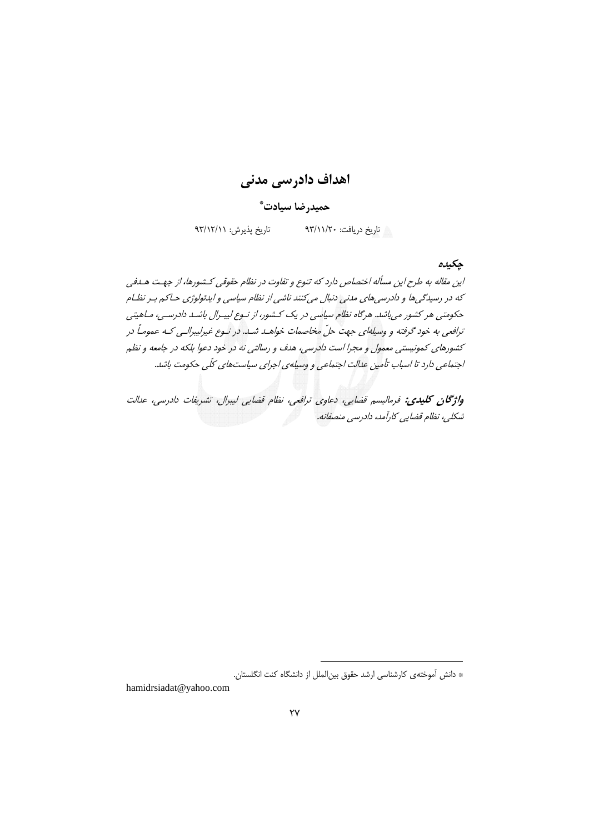اهداف دادرسی مدنی

حميدرضا سيادت ٌ

تاریخ پذیرش: ۹۳/۱۲/۱۱ ۱۸ تاریخ دریافت: ۹۳/۱۱/۲۰

حكىدە

این مقاله به طرح این مسأله اختصاص دارد که تنوع و تفاوت در نظام حقوقی کـشورها، از جهـت هـدفی که در رسیدگی ها و دادرسی های مدنی دنبال میکنند ناشی از نظام سیاسی و ایدئولوژی حیاکم بیر نظیام حکومتی هر کشور می باشد. هرگاه نظام سیاسی در یک کشور، از نوع لیبرال باشد دادرسی، ماهیتی ترافعي به خود گرفته و وسيلهاي جهت حلّ مخاصمات خواهـد شـد. در نـوع غيرليبرالـي كـه عمومـاً در کشورهای کمونیستی معمول و مجرا است دادرسی، هدف و رسالتی نه در خود دعوا بلکه در جامعه و نظم اجتماعی دارد تا اسباب تأمین عدالت اجتماعی و وسیله ی اجرای سیاستهای کلّی حکومت باشد.

واژگان كليدي: فرماليسم قضايي، دعاوي ترافعي، نظام قضايي ليبرال، تشريفات دادرسي، عدالت شکلی، نظام قضایی کارآمد، دادرسی منصفانه.

hamidrsiadat@yahoo.com

<sup>\*</sup> دانش آموختهی کارشناسی ارشد حقوق بین الملل از دانشگاه کنت انگلستان.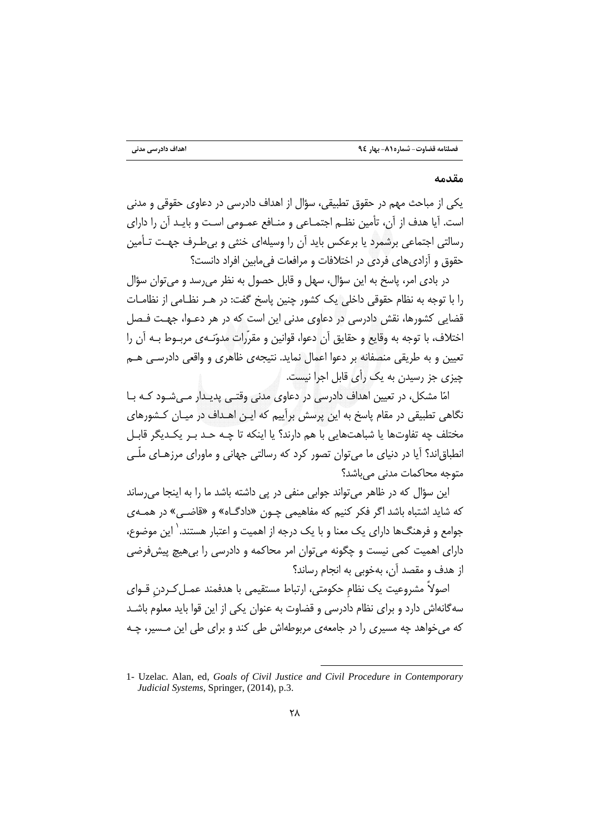#### مقدمه

یکی از مباحث مهم در حقوق تطبیقی، سؤال از اهداف دادرسی در دعاوی حقوقی و مدنی است. آیا هدف از آن، تأمین نظـم اجتمـاعی و منـافع عمـومی اسـت و بایـد آن را دارای رسالتی اجتماعی برشمرد یا برعکس باید آن را وسیلهای خنثی و بیطرف جهت تـأمین حقوق و آزادی های فردی در اختلافات و مرافعات فی مابین افراد دانست؟

در بادی امر، پاسخ به این سؤال، سهل و قابل حصول به نظر می رسد و می توان سؤال را با توجه به نظام حقوقی داخلی یک کشور چنین باسخ گفت: در هـر نظـامی از نظامــات قضایی کشورها، نقش دادرسی در دعاوی مدنی این است که در هر دعـوا، جهـت فـصل اختلاف، با توجه به وقايع و حقايق آن دعوا، قوانين و مقرَّرات مدوِّنـهي مربـوط بـه آن را تعیین و به طریقی منصفانه بر دعوا اعمال نماید. نتیجهی ظاهری و واقعی دادرسـی هــم جبزي جز رسيدن به يک رأي قابل اجرا نيست.

امّا مشکل، در تعیین اهداف دادرسی در دعاوی مدنی وقتبی بدیندار می شبود کبه یبا .<br>نگاهی تطبیقی در مقام پاسخ به این پرسش برآییم که ایـن اهـداف در میـان کـشورهای مختلف چه تفاوتها يا شباهتهايي با هم دارند؟ يا اينكه تا چـه حـد بـر يكـديگر قابـل انطباق|ند؟ آیا در دنیای ما میٍتوان تصور کرد که رسالتی جهانی و ماورای مرزهـای ملّـی متوحه محاكمات مدني مي باشد؟

این سؤال که در ظاهر میتواند جوابی منفی در پی داشته باشد ما را به اینجا می رساند که شاید اشتباه باشد اگر فکر کنیم که مفاهیمی چـون «دادگـاه» و «قاضـی» در همـهى جوامع و فرهنگها دارای یک معنا و با یک درجه از اهمیت و اعتبار هستند.` این موضوع، دارای اهمیت کمی نیست و چگونه می توان امر محاکمه و دادرسی را بی هیچ پیش فرضی از هدف و مقصد آن، بهخوبی به انجام رساند؟

اصولاً مشروعيت يک نظام حکومتي، ارتباط مستقيمي با هدفمند عمـل کـردن قـواي سه گانهاش دارد و برای نظام دادرسی و قضاوت به عنوان یکی از این قوا باید معلوم باشـد که می خواهد چه مسیری را در جامعهی مربوطهاش طی کند و برای طی این مـسیر، چـه

<sup>1-</sup> Uzelac. Alan, ed, Goals of Civil Justice and Civil Procedure in Contemporary Judicial Systems, Springer, (2014), p.3.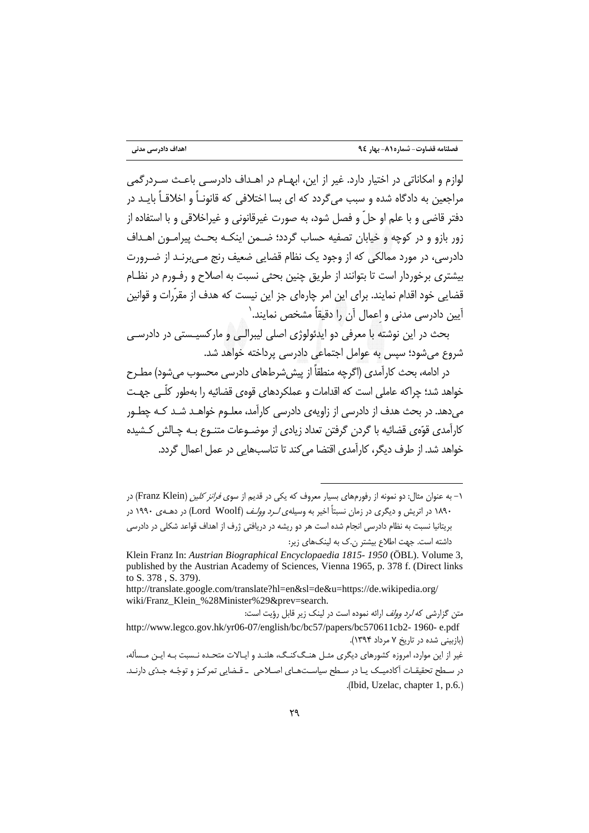لوازم و امکاناتی در اختیار دارد. غیر از این، ایهبام در اهیداف دادرستی باعث سیردرگمی مراجعین به دادگاه شده و سبب می گردد که ای بسا اختلافی که قانونـاً و اخلاقـاً بایـد در دفتر قاضي و با علم او حلّ و فصل شود، به صورت غيرقانوني و غيراخلاقي و با استفاده از زور بازو و در کوچه و خیابان تصفیه حساب گردد؛ ضـمن اینکـه بحـث پیرامـون اهـداف دادرسی، در مورد ممالکی که از وجود یک نظام قضایی ضعیف رنج مـیبرنـد از ضـرورت بیشتری برخوردار است تا بتوانند از طریق چنین بحثی نسبت به اصلاح و رفـورم در نظـام قضایی خود اقدام نمایند. برای این امر چارهای جز این نیست که هدف از مقرّرات و قوانین آيين دادرسي مدني و اعمال آن را دقيقاً مشخص نمايند.`

بحث در این نوشته با معرفی دو ایدئولوژی اصلی لیبرالـی و مارکسیـستی در دادرسـی شروع می شود؛ سپس به عوامل اجتماعی دادرسی پرداخته خواهد شد.

در ادامه، بحث کارآمدی (اگرچه منطقاً از پیش شرطهای دادرسی محسوب می شود) مطـرح خواهد شد؛ چراکه عاملی است که اقدامات و عملکردهای قوهی قضائیه را بهطور کلّـی جهـت می دهد. در بحث هدف از دادرسی از زاویهی دادرسی کارآمد، معلـوم خواهــد شــد کــه چطــور كارآمدي قوِّهي قضائيه با گردن گرفتن تعداد زيادي از موضـوعات متنـوع بـه چـالش كـشيده خواهد شد. از طرف دیگر، کارآمدی اقتضا می کند تا تناسبهایی در عمل اعمال گردد.

۱– به عنوان مثال: دو نمونه از رفورمهای بسیار معروف که یکی در قدیم از سوی *فرانز کلین (*Franz Klein) در ۱۸۹۰ در اتریش و دیگری در زمان نسبتاً اخیر به وسیلهی *لـرد وولـف* (Lord Woolf) در دهــهی ۱۹۹۰ در بریتانیا نسبت به نظام دادرسی انجام شده است هر دو ریشه در دریافتی ژرف از اهداف قواعد شکلی در دادرسی داشته است. جهت اطلاع بیشتر ن.ک به لینکهای زیر:

Klein Franz In: Austrian Biographical Encyclopaedia 1815-1950 (ÖBL). Volume 3, published by the Austrian Academy of Sciences, Vienna 1965, p. 378 f. (Direct links to S. 378, S. 379).

http://translate.google.com/translate?hl=en&sl=de&u=https://de.wikipedia.org/ wiki/Franz\_Klein\_%28Minister%29&prev=search.

متن گزارشی که *لرد وولف* ارائه نموده است در لینک زیر قابل رؤیت است: http://www.legco.gov.hk/yr06-07/english/bc/bc57/papers/bc570611cb2-1960-e.pdf (بازبینی شده در تاریخ ۷ مرداد ۱۳۹۴).

غیر از این موارد، امروزه کشورهای دیگری مثـل هنـگ کنـگ، هلنـد و ایـالات متحـده نـسبت بـه ایـن مـسأله، در سطح تحقیقـات آکادمیـک یـا در سـطح سیاسـتهـای اصـلاحی \_ قـضایی تمرکـز و توجّـه جـدّی دارنـد. .(Ibid, Uzelac, chapter 1, p.6.)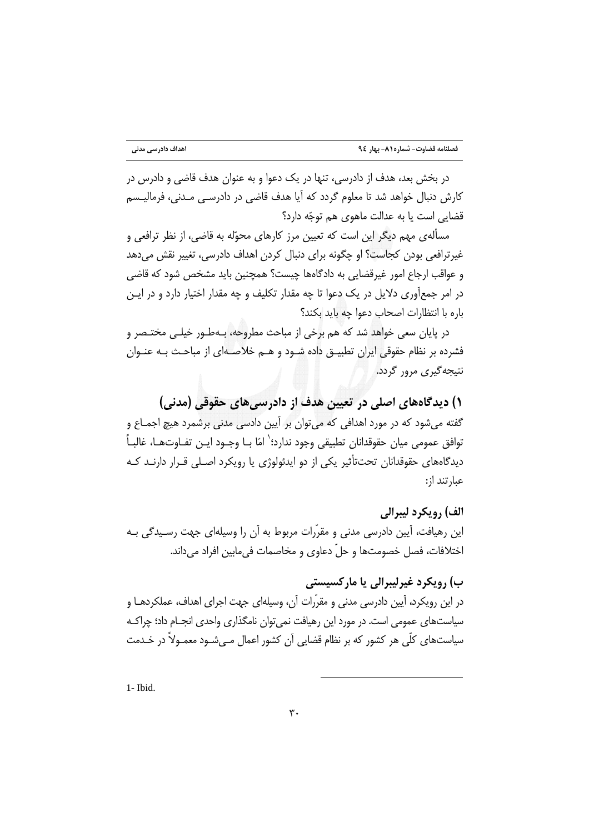در بخش بعد، هدف از دادرسی، تنها در یک دعوا و به عنوان هدف قاضی و دادرس در کارش دنبال خواهد شد تا معلوم گردد که آیا هدف قاضی در دادرسـی مـدنی، فرمالیـسم قضایی است یا به عدالت ماهوی هم توجّه دارد؟

مسألهي مهم ديگر اين است كه تعيين مرز كارهاي محوّله به قاضي، از نظر ترافعي و غیرترافعی بودن کجاست؟ او چگونه برای دنبال کردن اهداف دادرسی، تغییر نقش میدهد و عواقب ارجاع امور غیرقضایی به دادگاهها چیست؟ همچنین باید مشخص شود که قاضی در امر جمعآوری دلایل در یک دعوا تا چه مقدار تکلیف و چه مقدار اختیار دارد و در ایـن باره با انتظارات اصحاب دعوا چه باید بکند؟

در پایان سعی خواهد شد که هم برخی از مباحث مطروحه، بـهطـور خیلـی مختـصر و فشرده بر نظام حقوقی ایران تطبیــق داده شــود و هــم خلاصــهای از مباحـث بــه عنــوان نتيجه گيري مرور گردد.

۱) دیدگاههای اصلی در تعیین هدف از دادرسیهای حقوقی (مدنی) گفته میشود که در مورد اهدافی که می ّتوان بر اَپین دادسی مدنی برشمرد هیچ اجمـاع و توافق عمومي ميان حقوقدانان تطبيقي وجود ندارد؛ ٰ امّا بـا وجـود ايـن تفـاوتـهـا، غالبـاً ۖ دیدگاههای حقوقدانان تحتتأثیر یکی از دو ایدئولوژی یا رویکرد اصـلی قـرار دارنـد کـه عبارتند از:

الف) رويكرد ليبرالي این رهیافت، آیین دادرسی مدنی و مقرّرات مربوط به آن را وسیلهای جهت رسـیدگی بـه اختلافات، فصل خصومتها و حلِّ دعاوى و مخاصمات في مابين افراد مي داند.

ب) رویکرد غیرلیبرالی یا مارکسیستی در این رویکرد، آیین دادرسی مدنی و مقرّرات آن، وسیلهای جهت اجرای اهداف، عملکردهـا و سیاستهای عمومی است. در مورد این رهیافت نمی توان نامگذاری واحدی انجــام داد؛ چراکــه سیاستھای کلّی ھر کشور که بر نظام قضایی آن کشور اعمال مے،شــود معمــولاً در خــدمت

1- Ibid.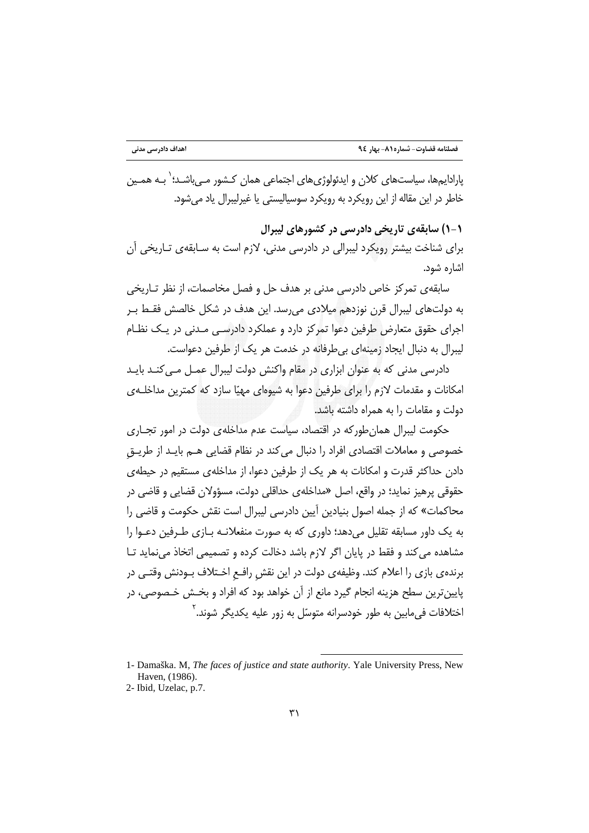بارادابہھا، سیاستھای کلان و ابدئولوژی ھای اجتماعی ھمان کیشور مے باشید؛ <sup>(</sup> بیہ ھمین خاطر در این مقاله از این رویکرد به رویکرد سوسیالیستی یا غیرلیبرال یاد می شود.

۱-۱) سابقەی تاریخی دادرسی در کشورهای لیبرال برای شناخت بیشتر رویکرد لیبرالی در دادرسی مدنی، لازم است به سـابقهی تـاریخی آن اشاره شود.

سابقهي تمركز خاص دادرسي مدني بر هدف جل و فصل مخاصمات، از نظر تــاريخي به دولتهای لیبرال قرن نوزدهم میلادی می٫رسد. این هدف در شکل خالصش فقـط بـر اجرای حقوق متعارض طرفین دعوا تمرکز دارد و عملکرد دادرسے مـدنی در یـک نظـام لیبرال به دنبال ایجاد زمینهای بی طرفانه در خدمت هر یک از طرفین دعواست.

دادرسی مدنی که به عنوان ابزاری در مقام واکنش دولت لیبرال عمـل مـیکنـد بایـد امکانات و مقدمات لازم را برای طرفین دعوا به شیوهای مهیّا سازد که کمترین مداخلـهی دولت و مقامات را به همراه داشته باشد.

حکومت لیبرال همان طور که در اقتصاد، سیاست عدم مداخله ی دولت در امور تجـاری خصوصی و معاملات اقتصادی افراد را دنبال می کند در نظام قضایی هــم بایــد از طریــق دادن حداکثر قدرت و امکانات به هر یک از طرفین دعوا، از مداخلهی مستقیم در حیطهی حقوقي پرهيز نمايد؛ در واقع، اصل «مداخلهي حداقلي دولت، مسؤولان قضايي و قاضي در محاکمات» که از جمله اصول بنیادین آیین دادرسی لیبرال است نقش حکومت و قاضی را به یک داور مسابقه تقلیل می دهد؛ داوری که به صورت منفعلانـه بـازی طـرفین دعـوا را مشاهده می کند و فقط در پایان اگر لازم باشد دخالت کرده و تصمیمی اتخاذ می نماید تـا برندهی بازی را اعلام کند. وظیفهی دولت در این نقش رافـع اخـتلاف بــودنش وقتــی در پایینترین سطح هزینه انجام گیرد مانع از آن خواهد بود که افراد و بخـش خـصوصی، در اختلافات فی مابین به طور خودسرانه متوسّل به زور علیه یکدیگر شوند.<sup>۲</sup>

<sup>1-</sup> Damaška. M, The faces of justice and state authority. Yale University Press, New Haven, (1986).

<sup>2-</sup> Ibid, Uzelac, p.7.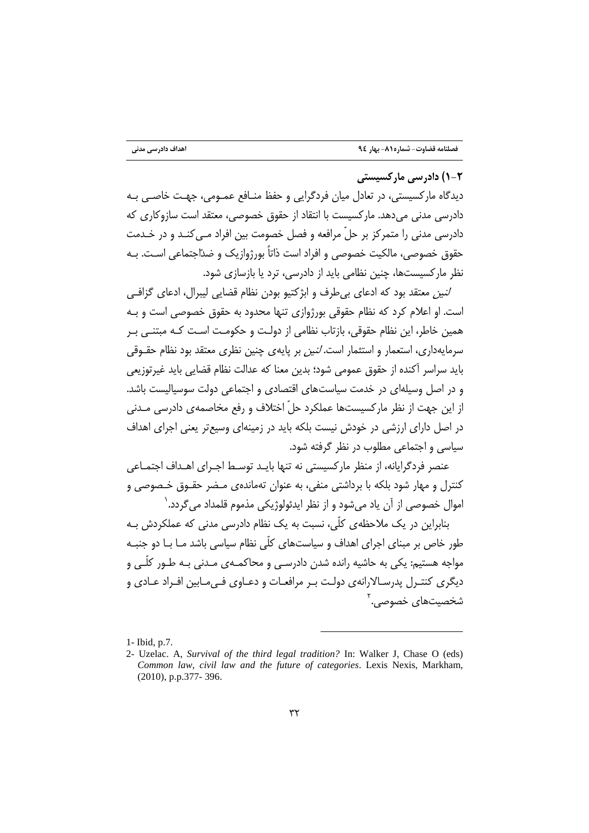۲-۱) دادر سی مارکسیستی

دیدگاه مارکسیستی، در تعادل میان فردگرایی و حفظ منــافع عمــومی، جهـت خاصــی بــه دادرسی مدنی می دهد. مارکسیست با انتقاد از حقوق خصوصی، معتقد است سازوکاری که دادرسی مدنی را متمرکز بر حلّ مرافعه و فصل خصومت بین افراد مـی کنـد و در خـدمت حقوق خصوصی، مالکیت خصوصی و افراد است ذاتاً بورژوازیک و ضدّاجتماعی اسـت. بـه نظر مارکسیستها، چنین نظامی باید از دادرسی، ترد یا بازسازی شود.

*لنين* معتقد بود كه ادعاى بى طرف و ابژكتيو بودن نظام قضايى ليبرال، ادعاى گزافـي است. او اعلام کرد که نظام حقوقی بورژوازی تنها محدود به حقوق خصوصی است و بـه همین خاطر، این نظام حقوقی، بازتاب نظامی از دولت و حکومت است کـه مبتنـی بـر سرمایهداری، استعمار و استثمار اس*ت. لنین* بر پایهی چنین نظری معتقد بود نظام حقــوقی بايد سراسر أكنده از حقوق عمومي شود؛ بدين معنا كه عدالت نظام قضايي بايد غيرتوزيعي و در اصل وسیلهای در خدمت سیاستهای اقتصادی و اجتماعی دولت سوسیالیست باشد. از این جهت از نظر مارکسیستها عملکرد حلّ اختلاف و رفع مخاصمه ی دادرسی مـدنی در اصل دارای ارزشی در خودش نیست بلکه باید در زمینهای وسیعتر یعنی اجرای اهداف سیاسی و اجتماعی مطلوب در نظر گرفته شود.

عنصر فردگرایانه، از منظر مارکسیستی نه تنها بایـد توسـط اجـرای اهـداف اجتمـاعی کنترل و مهار شود بلکه با برداشتی منفی، به عنوان تهماندهی مـضر حقـوق خـصوصی و اموال خصوصی از آن یاد می شود و از نظر ایدئولوژیکی مذموم قلمداد می گردد. `

بنابراین در یک ملاحظه ی کلّی، نسبت به یک نظام دادرسی مدنی که عملکردش بـه طور خاص بر مبنای اجرای اهداف و سیاستهای کلّی نظام سیاسی باشد مـا بـا دو جنبـه مواجه هستیم: یکی به حاشیه رانده شدن دادرسـی و محاکمـهی مـدنی بـه طـور کلّـی و دیگری کنتـرل پدرسـالارانهی دولـت بـر مرافعـات و دعـاوی فـی مـابین افـراد عـادی و شخصیتهای خصوصی. ً

<sup>1-</sup> Ibid, p.7.

<sup>2-</sup> Uzelac. A, Survival of the third legal tradition? In: Walker J, Chase O (eds) Common law, civil law and the future of categories. Lexis Nexis, Markham,  $(2010)$ , p.p.377-396.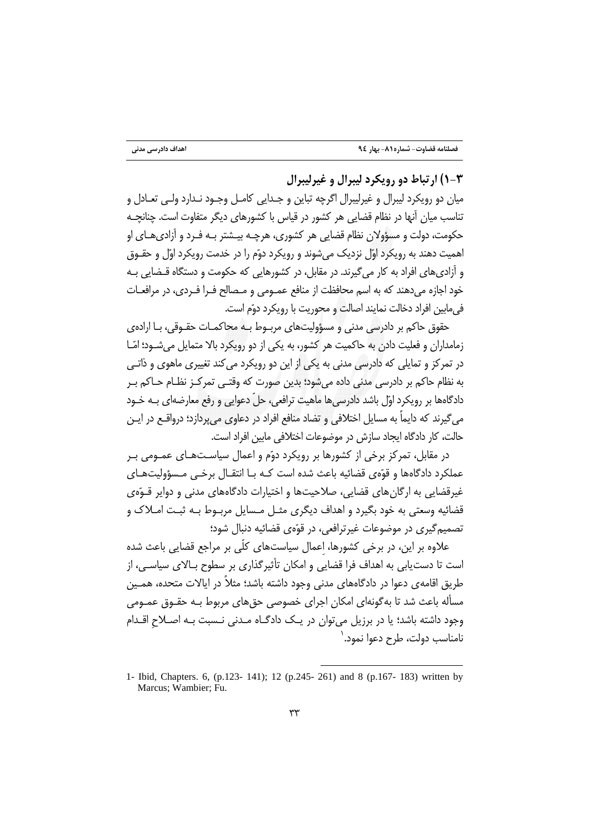### ۰۳- ۱) ارتباط دو رويکرد ليبرال و غيرليبرال

ميان دو رويكرد ليبرال و غيرليبرال اگرچه تباين و جـدايي كامــل وجــود نــدارد ولــي تعــادل و تناسب میان آنها در نظام قضایی هر کشور در قیاس با کشورهای دیگر متفاوت است. چنانچـه حکومت، دولت و مسؤولان نظام قضایی هر کشوری، هرچـه بیـشتر بـه فـرد و آزادی هـای او اهمیت دهند به رویکرد اوّل نزدیک می شوند و رویکرد دوّم را در خدمت رویکرد اوّل و حقـوق و آزادی های افراد به کار می گیرند. در مقابل، در کشورهایی که حکومت و دستگاه قـضایی بـه خود اجازه می دهند که به اسم محافظت از منافع عمـومی و مـصالح فـرا فـردی، در مرافعـات في مايين افراد دخالت نمايند اصالت و محوريت با رويكرد دوّم است.

حقوق حاکم بر دادرسی مدنی و مسؤولیتهای مربـوط بـه محاکمـات حقـوقی، بـا ارادهی زمامداران و فعلیت دادن به حاکمیت هر کشور، به یکی از دو رویکرد بالا متمایل می شـود؛ امّـا در تمرکز و تمایلی که دادرسی مدنی به یکی از این دو رویکرد می کند تغییری ماهوی و ذاتـی به نظام حاکم بر دادرسی مدنی داده میشود؛ بدین صورت که وقتـی تمرکـز نظـام حـاکم بـر دادگاهها بر رویکرد اوّل باشد دادرسیٖها ماهیت ترافعی، حلّ دعوایی و رفع معارضهای بـه خـود می گیرند که دایماً به مسایل اختلافی و تضاد منافع افراد در دعاوی میپردازد؛ درواقـع در ایـن حالت، كار دادگاه ايجاد سازش در موضوعات اختلافي مابين افراد است.

در مقابل، تمرکز برخی از کشورها بر رویکرد دوّم و اعمال سیاستهـای عمـومی بـر عملکرد دادگاهها و قوّهي قضائيه باعث شده است کـه بـا انتقـال برخـي مـسؤوليتهـاي غیرقضایی به ارگان های قضایی، صلاحیتها و اختیارات دادگاههای مدنی و دوایر قـوّهی قضائيه وسعتي به خود بگيرد و اهداف ديگري مثـل مـسايل مربـوط بـه ثبـت امـلاک و تصميم گيري در موضوعات غيرترافعي، در قوّهي قضائيه دنبال شود؛

علاوه بر این، در برخی کشورها، اعمال سیاستهای کلّی بر مراجع قضایی باعث شده است تا دست بابی به اهداف فرا قضایی و امکان تأثیر گذاری بر سطوح بـالای سیاسـی، از طریق اقامهی دعوا در دادگاههای مدنی وجود داشته باشد؛ مثلاً در ایالات متحده، همـین مسأله باعث شد تا بهگونهای امکان اجرای خصوصی حقهای مربوط بـه حقـوق عمـومی وجود داشته باشد؛ یا در برزیل میتوان در یک دادگـاه مـدنی نـسبت بـه اصـلاح اقـدام نامناسب دولت، طرح دعوا نمود.`

<sup>1-</sup> Ibid, Chapters. 6, (p.123-141); 12 (p.245-261) and 8 (p.167-183) written by Marcus; Wambier; Fu.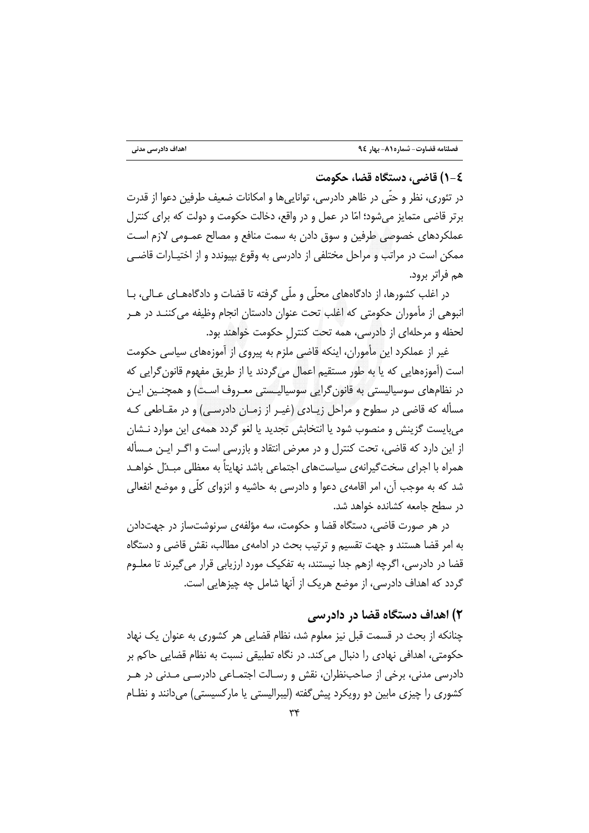#### ٤-١) قاضي، دستگاه قضا، حكومت

در تئوري، نظر و حتَّى در ظاهر دادرسي، توانايي ها و امكانات ضعيف طرفين دعوا از قدرت برتر قاضی متمایز میشود؛ امّا در عمل و در واقع، دخالت حکومت و دولت که برای کنترل عملکردهای خصوصی طرفین و سوق دادن به سمت منافع و مصالح عمـومی لازم اسـت ممکن است در مراتب و مراحل مختلفی از دادرسی به وقوع بیپوندد و از اختیـارات قاضـی هم فراتر برود.

در اغلب کشورها، از دادگاههای محلّی و ملّی گرفته تا قضات و دادگاههــای عــالی، بــا انبوهی از مأموران حکومتی که اغلب تحت عنوان دادستان انجام وظیفه میکننـد در هـر لحظه و مرحلهای از دادرسی، همه تحت کنترل حکومت خواهند بود.

غیر از عملکرد این مأموران، اینکه قاضی ملزم به پیروی از آموزههای سیاسی حکومت است (آموزههایی که یا به طور مستقیم اعمال میگردند یا از طریق مفهوم قانون گرایی که در نظامهای سوسیالیستی به قانون گرایی سوسیالیـستی معـروف اسـت) و همچنـین ایـن مسأله که قاضی در سطوح و مراحل زیـادی (غیـر از زمـان دادرسـی) و در مقـاطعی کـه می بایست گزینش و منصوب شود یا انتخابش تجدید یا لغو گردد همهی این موارد نـشان از این دارد که قاضی، تحت کنترل و در معرض انتقاد و بازرسی است و اگـر ایـن مـسأله همراه با اجرای سخت گیرانهی سیاستهای اجتماعی باشد نهایتاً به معظلی مبـدّل خواهـد شد که به موجب آن، امر اقامهی دعوا و دادرسی به حاشیه و انزوای کلّی و موضع انفعالی در سطح جامعه كشانده خواهد شد.

در هر صورت قاضی، دستگاه قضا و حکومت، سه مؤلفهی سرنوشتساز در جهتدادن به امر قضا هستند و جهت تقسیم و ترتیب بحث در ادامهی مطالب، نقش قاضی و دستگاه قضا در دادرسی، اگرچه ازهم جدا نیستند، به تفکیک مورد ارزیابی قرار میگیرند تا معلـوم گردد که اهداف دادرسی، از موضع هریک از آنها شامل چه چیزهایی است.

## ۲) اهداف دستگاه قضا در دادرسی

چنانکه از بحث در قسمت قبل نیز معلوم شد، نظام قضایی هر کشوری به عنوان یک نهاد حکومتی، اهدافی نهادی را دنبال می کند. در نگاه تطبیقی نسبت به نظام قضایی حاکم بر دادرسی مدنی، برخی از صاحب:نظران، نقش و رسـالت اجتمـاعی دادرسـی مـدنی در هـر کشوری را چیزی مابین دو رویکرد پیش گفته (لیبرالیستی یا مارکسیستی) می(انند و نظـام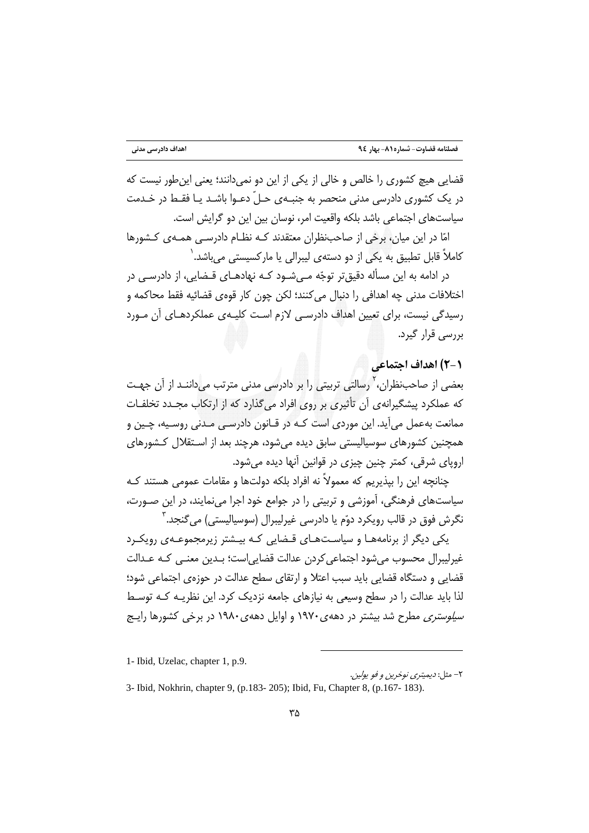قضایی هیچ کشوری را خالص و خالی از یکی از این دو نمی دانند؛ یعنی این طور نیست که در یک کشوری دادرسی مدنی منحصر به جنبـهی حـلّ دعـوا باشـد یـا فقـط در خـدمت سیاستهای اجتماعی باشد بلکه واقعیت امر، نوسان بین این دو گرایش است.

امّا در این میان، برخی از صاحبنظران معتقدند کـه نظـام دادرسـی همـهـی کـشورها کاملاً قابل تطبیق به یکی از دو دستهی لیبرالی یا مارکسیستی می،باشد.<sup>\</sup>

در ادامه به این مسأله دقیق تر توجّه مـے شـود کـه نهادهـای قـضایی، از دادرسـی در اختلافات مدني چه اهدافي را دنبال مي كنند؛ لكن چون كار قوەي قضائيه فقط محاكمه و رسیدگی نیست، برای تعیین اهداف دادرسـی لازم اسـت کلیـهی عملکردهـای آن مـورد بررسی قرار گیرد.

### ٢-٢) اهداف اجتماعی

بعضی از صاحب:نظران، <sup>7</sup> رسالتی تربیتی را بر دادرسی مدنی مترتب میداننـد از آن جهـت که عملکرد پیشگیرانهی آن تأثیری بر روی افراد میگذارد که از ارتکاب مجـدد تخلفـات ممانعت بهعمل می]ید. این موردی است کـه در قـانون دادرسـی مـدنی روسـیه، چـین و همچنین کشورهای سوسیالیستی سابق دیده می شود، هرچند بعد از اسـتقلال کـشورهای اروپای شرقی، کمتر چنین چیزی در قوانین آنها دیده می شود.

چنانچه این را بپذیریم که معمولاً نه افراد بلکه دولتها و مقامات عمومی هستند کـه سیاستهای فرهنگی، آموزشی و تربیتی را در جوامع خود اجرا مینمایند، در این صـورت، نگرش فوق در قالب رويكرد دوّم يا دادرسي غيرليبرال (سوسياليستي) مي گنجد. ّ

یکی دیگر از برنامههـا و سیاسـتهـای قـضایی کـه بیـشتر زیرمجموعـهی رویکـرد غیرلیبرال محسوب می شود اجتماعی کردن عدالت قضایی است؛ بـدین معنـی کـه عـدالت قضایی و دستگاه قضایی باید سبب اعتلا و ارتقای سطح عدالت در حوزهی اجتماعی شود؛ لذا باید عدالت را در سطح وسیعی به نیازهای جامعه نزدیک کرد. این نظریـه کـه توسـط *سیلوستری م*طرح شد بیشتر در دههی ۱۹۷۰ و اوایل دههی ۱۹۸۰ در برخی کشورها رایـج

<sup>1-</sup> Ibid, Uzelac, chapter 1, p.9.

۲- مثل: *ديميترى نوخرين و فو يولين*.

<sup>3-</sup> Ibid, Nokhrin, chapter 9, (p.183-205); Ibid, Fu, Chapter 8, (p.167-183).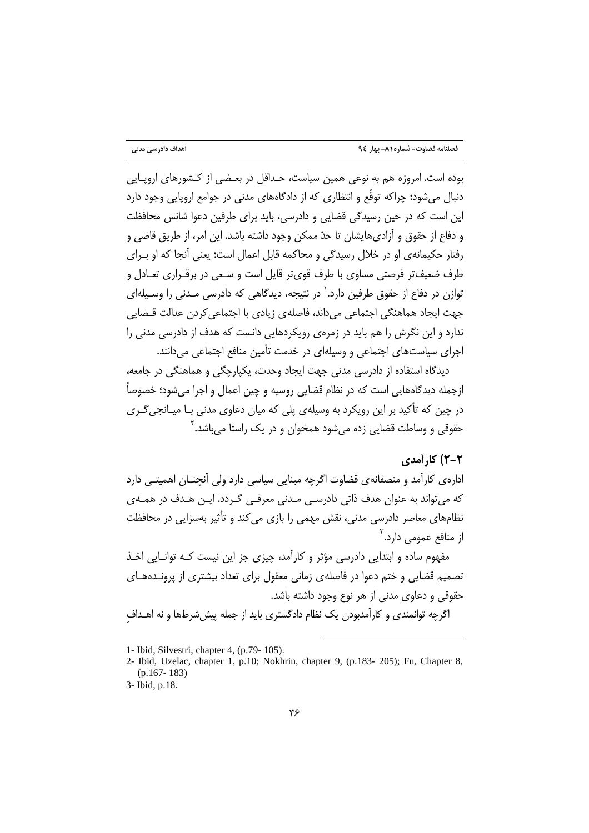بوده است. امروزه هم به نوعی همین سیاست، حـداقل در بعـضی از کـشورهای اروپـایی دنبال می شود؛ چراکه توقّع و انتظاری که از دادگاههای مدنی در جوامع اروپایی وجود دارد این است که در حین رسیدگی قضایی و دادرسی، باید برای طرفین دعوا شانس محافظت و دفاع از حقوق و آزادی۱هایشان تا حدّ ممکن وجود داشته باشد. این امر، از طریق قاضی و رفتار حکیمانهی او در خلال رسیدگی و محاکمه قابل اعمال است؛ یعنی آنجا که او بـرای طرف ضعیفتر فرصتی مساوی با طرف قویتر قایل است و سـعی در برقـراری تعـادل و توازن در دفاع از حقوق طرفین دارد.<sup>٬</sup> در نتیجه، دیدگاهی که دادرسی مـدنی را وسـیلهای جهت ایجاد هماهنگی اجتماعی می داند، فاصلهی زیادی با اجتماعی کردن عدالت قـضایی .<br>ندارد و این نگرش را هم باید در زمرهی رویکردهایی دانست که هدف از دادرسی مدنی را اجرای سیاستهای اجتماعی و وسیلهای در خدمت تأمین منافع اجتماعی می دانند.

دیدگاه استفاده از دادرسی مدنی جهت ایجاد وحدت، یکیارچگی و هماهنگی در جامعه، ازجمله ديدگاههايي است كه در نظام قضايي روسيه و چين اعمال و اجرا مي شود؛ خصوصاً در چین که تأکید بر این رویکرد به وسیلهی پلی که میان دعاوی مدنی بـا میـانجی *گـ*ری حقوقی و وساطت قضایی زده می شود همخوان و در یک راستا م*ی ب*اشد.<sup>۲</sup>

#### ۲-۲) کارآمدی

ادارهی کارآمد و منصفانهی قضاوت اگرچه مبنایی سیاسی دارد ولی آنچنـان اهمیتـی دارد که می تواند به عنوان هدف ذاتی دادرسے مـدنی معرفـی گـردد. ایـن هـدف در همـهى نظامهای معاصر دادرسی مدنی، نقش مهمی را بازی می کند و تأثیر بهسزایی در محافظت از منافع عمومے دارد.<sup>۳</sup>

مفهوم ساده و ابتدایی دادرسی مؤثر و کارآمد، چیزی جز این نیست کـه توانـایی اخـذ تصمیم قضایی و ختم دعوا در فاصلهی زمانی معقول برای تعداد بیشتری از پرونـدههـای حقوقی و دعاوی مدنی از هر نوع وجود داشته باشد. اگرچه توانمندی و کارآمدبودن یک نظام دادگستری باید از جمله پیش شرطها و نه اهـداف

<sup>1-</sup> Ibid, Silvestri, chapter 4, (p.79-105).

<sup>2-</sup> Ibid, Uzelac, chapter 1, p.10; Nokhrin, chapter 9, (p.183-205); Fu, Chapter 8,  $(p.167 - 183)$ 

<sup>3-</sup> Ibid, p.18.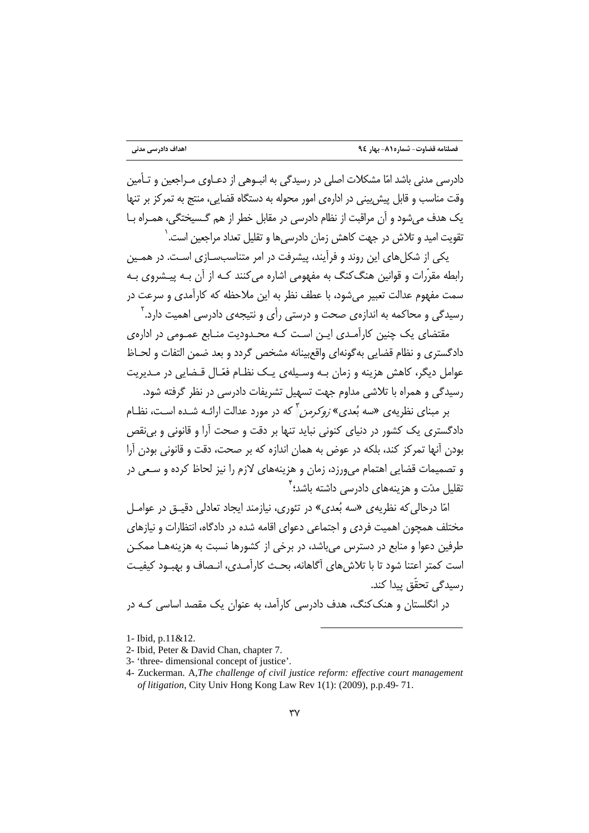دادرسی مدنی باشد امّا مشکلات اصلی در رسیدگی به انتـوهی از دعـاوی مـراجعین و تـأمین وقت مناسب و قابل پیش بینی در ادارهی امور محوله به دستگاه قضایی، منتج به تمرکز بر تنها یک هدف می شود و آن مراقبت از نظام دادرسی در مقابل خطر از هم گـسیختگی، همـراه بـا تقويت اميد و تلاش در جهت كاهش زمان دادرسي ها و تقليل تعداد مراجعين است. `

یکی از شکلهای این روند و فرآیند، پیشرفت در امر متناسبسـازی اسـت. در همـین رابطه مقرّرات و قوانین هنگ کنگ به مفهومی اشاره می کنند کـه از آن بـه پیـشروی بـه سمت مفهوم عدالت تعبیر می شود، با عطف نظر به این ملاحظه که کارآمدی و سرعت در رسیدگی و محاکمه به اندازه*ی* صحت و درستی رأی و نتیجهی دادرسی اهمیت دارد.<sup>۲</sup>

مقتضای یک چنین کارآمدی ایـن اسـت کـه محـدودیت منـابع عمـومی در ادارهی دادگستری و نظام قضایی به گونهای واقع بینانه مشخص گردد و بعد ضمن التفات و لحـاظ عوامل دیگر، کاهش هزینه و زمان بـه وسیلهی یـک نظـام فعّـال قـضایی در مـدیریت رسیدگی و همراه با تلاشی مداوم جهت تسهیل تشریفات دادرسی در نظر گرفته شود.

بر مبنای نظریهی «سه بُعدی» *زوکرمن* آکه در مورد عدالت ارائـه شـده اسـت، نظـام دادگستری یک کشور در دنیای کنونی نباید تنها بر دقت و صحت آرا و قانونی و بی نقص بودن آنها تمركز كند، بلكه در عوض به همان اندازه كه بر صحت، دقت و قانوني بودن آرا و تصمیمات قضایی اهتمام میeرزد، زمان و هزینههای لازم را نیز لحاظ کرده و سـعی در تقلیل مدّت و هزینههای دادرسی داشته باشد؛ <sup>۲</sup>

امّا درحالی که نظریهی «سه بُعدی» در تئوری، نیازمند ایجاد تعادلی دقیـق در عوامـل مختلف همچون اهمیت فردی و اجتماعی دعوای اقامه شده در دادگاه، انتظارات و نیازهای طرفین دعوا و منابع در دسترس می باشد، در برخی از کشورها نسبت به هزینههـا ممکــن است كمتر اعتنا شود تا با تلاش هاي آگاهانه، بحـث كارآمـدي، انـصاف و بهبـود كيفيـت ,سیدگے, تحقّق پیدا کند.

در انگلستان و هنک کنگ، هدف دادرسی کارآمد، به عنوان یک مقصد اساسی کـه در

<sup>1-</sup> Ibid, p.11&12.

<sup>2-</sup> Ibid, Peter & David Chan, chapter 7.

<sup>3- &#</sup>x27;three- dimensional concept of justice'.

<sup>4-</sup> Zuckerman. A, The challenge of civil justice reform: effective court management of litigation, City Univ Hong Kong Law Rev 1(1): (2009), p.p.49-71.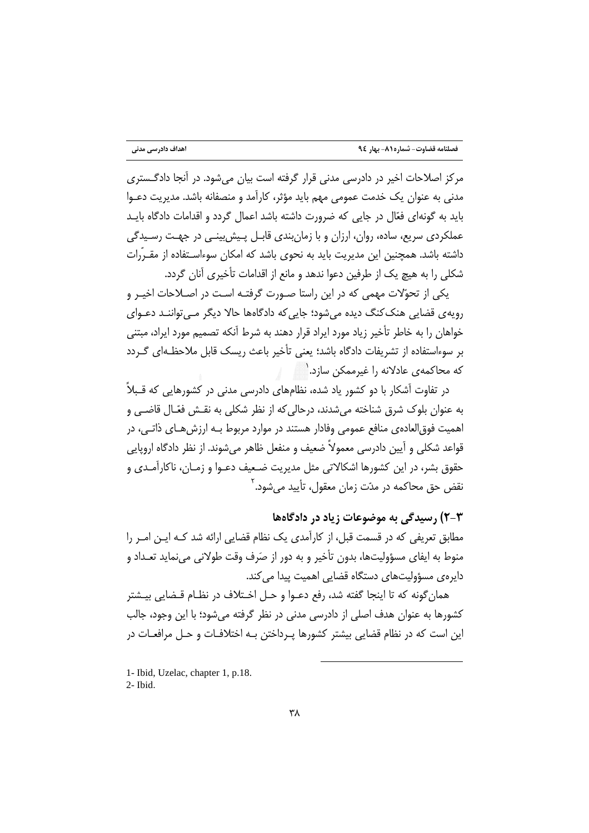مرکز اصلاحات اخیر در دادرسی مدنی قرار گرفته است بیان میشود. در آنجا دادگستری مدنی به عنوان یک خدمت عمومی مهم باید مؤثر، کارآمد و منصفانه باشد. مدیریت دعـوا باید به گونهای فعّال در جایی که ضرورت داشته باشد اعمال گردد و اقدامات دادگاه بایـد عملکردی سریع، ساده، روان، ارزان و با زمانبندی قابـل پـیش بینـی در جهـت رسـیدگی داشته باشد. همچنین این مدیریت باید به نحوی باشد که امکان سوءاسـتفاده از مقـرّرات شکلی را به هیچ یک از طرفین دعوا ندهد و مانع از اقدامات تأخیری آنان گردد.

یکی از تحوّلات مهمی که در این راستا صـورت گرفتـه اسـت در اصـلاحات اخیـر و رویهی قضایی هنک کنگ دیده می شود؛ جایی که دادگاهها حالا دیگر مے تواننـد دعـوای خواهان را به خاطر تأخیر زیاد مورد ایراد قرار دهند به شرط آنکه تصمیم مورد ایراد، مبتنی بر سوءاستفاده از تشریفات دادگاه باشد؛ یعنی تأخیر باعث ریسک قابل ملاحظـهای گـردد که محاکمهی عادلانه را غیرممکن سازد. <sup>۱</sup>

در تفاوت آشکار با دو کشور یاد شده، نظامهای دادرسی مدنی در کشورهایی که قـبلاً به عنوان بلوک شرق شناخته می شدند، درحالی که از نظر شکلی به نقـش فعّـال قاضـی و اهميت فوق|لعادهي منافع عمومي وفادار هستند در موارد مربوط بـه ارزش هـاي ذاتـي، در قواعد شکلی و آیین دادرسی معمولاً ضعیف و منفعل ظاهر می شوند. از نظر دادگاه اروپایی .<br>حقوق بشر، در این کشورها اشکالاتی مثل مدیریت ضـعیف دعـوا و زمـان، ناکارآمـدی و نقض حق محاکمه در مدّت زمان معقول، تأييد مي شود.<sup>۲</sup>

۲-۳) رسیدگی به موضوعات زیاد در دادگاهها

مطابق تعریفی که در قسمت قبل، از کارآمدی یک نظام قضایی ارائه شد کـه ایـن امـر را منوط به ایفای مسؤولیتها، بدون تأخیر و به دور از صَرف وقت طولانی می نماید تعـداد و دایرەی مسؤولیتھای دستگاه قضایی اهمیت پیدا می کند.

همان گونه که تا اینجا گفته شد، رفع دعـوا و حـل اخـتلاف در نظـام قـضایی بیـشتر کشورها به عنوان هدف اصلی از دادرسی مدنی در نظر گرفته می شود؛ با این وجود، جالب این است که در نظام قضایی بیشتر کشورها پـرداختن بـه اختلافـات و حـل مرافعـات در

1- Ibid, Uzelac, chapter 1, p.18. 2- Ibid.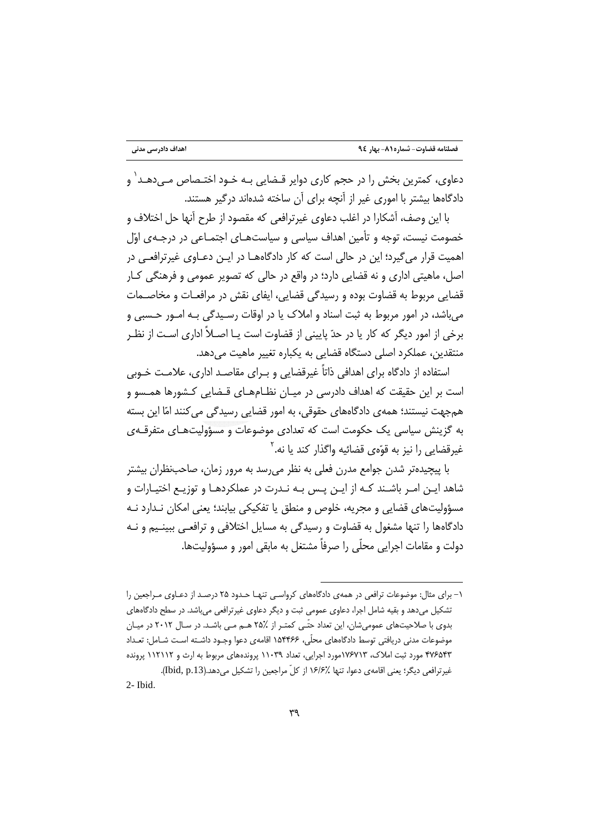دعاوی، کمترین بخش را در حجم کاری دوایر قـضایی بـه خـود اختـصاص مــ ,دهـد ٰ و دادگاهها بیشتر با اموری غیر از آنچه برای آن ساخته شدهاند درگیر هستند.

با این وصف، آشکارا در اغلب دعاوی غیرترافعی که مقصود از طرح آنها حل اختلاف و خصومت نیست، توجه و تأمین اهداف سیاسی و سیاستهـای اجتمـاعی در درجـهی اوّل اهمیت قرار می گیرد؛ این در حالی است که کار دادگاههــا در ایــن دعــاوی غیرترافعــی در اصل، ماهیتی اداری و نه قضایی دارد؛ در واقع در حالی که تصویر عمومی و فرهنگی کـار قضایی مربوط به قضاوت بوده و رسیدگی قضایی، ایفای نقش در مرافعـات و مخاصــمات مي باشد، در امور مربوط به ثبت اسناد و املاک يا در اوقات رسـيدگي بـه امـور حـسبي و برخی از امور دیگر که کار یا در حدّ پایینی از قضاوت است یـا اصـلاً اداری اسـت از نظـر منتقدین، عملکرد اصلی دستگاه قضایی به یکباره تغییر ماهیت میدهد.

استفاده از دادگاه برای اهدافی ذاتاً غیرقضایی و بـرای مقاصـد اداری، علامـت خـوبی است بر این حقیقت که اهداف دادرسی در میـان نظـامهـای قـضایی کـشورها همـسو و هم جهت نیستند؛ همه ی دادگاههای حقوقی، به امور قضایی رسیدگی می کنند امّا این بسته به گزینش سیاسی یک حکومت است که تعدادی موضوعات و مسؤولیتهـای متفرقـهی غیرقضایی را نیز به قوّهی قضائیه واگذار کند یا نه.<sup>۲</sup>

با پیچیدهتر شدن جوامع مدرن فعلی به نظر می٫سد به مرور زمان، صاحبنظران بیشتر شاهد ایـن امـر باشـند کـه از ایـن پـس بـه نـدرت در عملکردهـا و توزیـع اختیـارات و مسؤولیتهای قضایی و مجریه، خلوص و منطق یا تفکیکی بیابند؛ یعنی امکان نـدارد نـه دادگاهها را تنها مشغول به قضاوت و رسیدگی به مسایل اختلافی و ترافعـی ببینـیم و نـه دولت و مقامات اجرابي محلّى را صرفاً مشتغل به مابقي امور و مسؤوليتها.

۱– برای مثال: موضوعات ترافعی در همهی دادگاههای کرواسے تنهـا حـدود ۲۵ درصـد از دعـاوی مـراجعین را تشکیل میدهد و بقیه شامل اجرا، دعاوی عمومی ثبت و دیگر دعاوی غیرترافعی میباشد. در سطح دادگاههای بدوی با صلاحیتهای عمومی شان، این تعداد حتّـی کمتـر از ٪۲۵ هــم مـی باشـد. در سـال ۲۰۱۲ در میـان موضوعات مدنی دریافتی توسط دادگاههای محلّی، ۱۵۴۴۶۶ اقامهی دعوا وجـود داشـته اسـت شــامل: تعـداد ۴۷۶۵۴۳ مورد ثبت املاک، ۱۷۶۷۱۳مورد اجرایی، تعداد ۱۱۰۳۹ پروندههای مربوط به ارث و ۱۱۲۱۱۲ پرونده غیرترافعی دیگر؛ یعنی اقامهی دعوا، تنها ٪۱۶/۶ از کلّ مراجعین را تشکیل میدهد.(Ibid, p.13).

<sup>2-</sup> Ibid.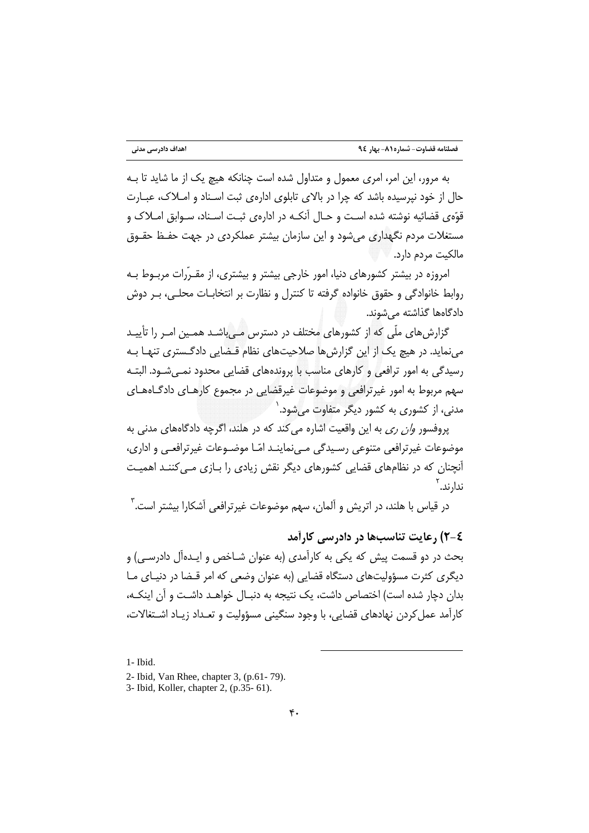به مرور، این امر، امری معمول و متداول شده است چنانکه هیچ یک از ما شاید تا بـه حال از خود نیرسیده باشد که چرا در بالای تابلوی ادارهی ثبت اسـناد و امـلاک، عبـارت قوّهي قضائيه نوشته شده اسـت و حـال آنكـه در ادارهي ثبـت اسـناد، سـوابق امـلاک و مستغلات مردم نگهداری می شود و این سازمان بیشتر عملکردی در جهت حفـظ حقـوق مالكيت مردم دارد.

امروزه در بیشتر کشورهای دنیا، امور خارجی بیشتر و بیشتری، از مقـرّرات مربـوط بـه روابط خانوادگی و حقوق خانواده گرفته تا کنترل و نظارت بر انتخابـات محلـی، بـر دوش دادگاهها گذاشته مے شوند.

گزارش های ملّی که از کشورهای مختلف در دسترس مے باشـد همـین امـر را تأییـد می نماید. در هیچ یک از این گزارش ها صلاحیتهای نظام قـضایی دادگـستری تنهـا بـه رسیدگی به امور ترافعی و کارهای مناسب با پروندههای قضایی محدود نمـی شـود. البتـه سهم مربوط به امور غیرترافعی و موضوعات غیرقضایی در مجموع کارهـای دادگـاههـای مدنی، از کشوری به کشور دیگر متفاوت می شود. <sup>۱</sup>

پروفسور *وان ري* به اين واقعيت اشاره مي كند كه در هلند، اگرچه دادگاههاي مدني به موضوعات غیرترافعی متنوعی رسیدگی مے،نماینـد امّـا موضـوعات غیرترافعـی و اداری، آنچنان که در نظامهای قضایی کشورهای دیگر نقش زیادی را بـازی مـی کننـد اهمیـت ندا<sub>ً</sub>، ند. <sup>۲</sup>

در قیاس با هلند، در اتریش و آلمان، سهم موضوعات غیرترافعی آشکارا بیشتر است.<sup>۳</sup>

٤-٢) , عايت تناسبها در دادرسي كارأمد

بحث در دو قسمت پیش که یکی به کارآمدی (به عنوان شـاخص و ایـدهأل دادرسـی) و دیگری کثرت مسؤولیتهای دستگاه قضایی (به عنوان وضعی که امر قـضا در دنیـای مـا بدان دچار شده است) اختصاص داشت، یک نتیجه به دنبـال خواهــد داشــت و آن اینکــه، کارآمد عمل کردن نهادهای قضایی، با وجود سنگینی مسؤولیت و تعـداد زیـاد اشـتغالات،

<sup>1-</sup> Ibid.

<sup>2-</sup> Ibid, Van Rhee, chapter 3, (p.61-79).

<sup>3-</sup> Ibid, Koller, chapter 2, (p.35- 61).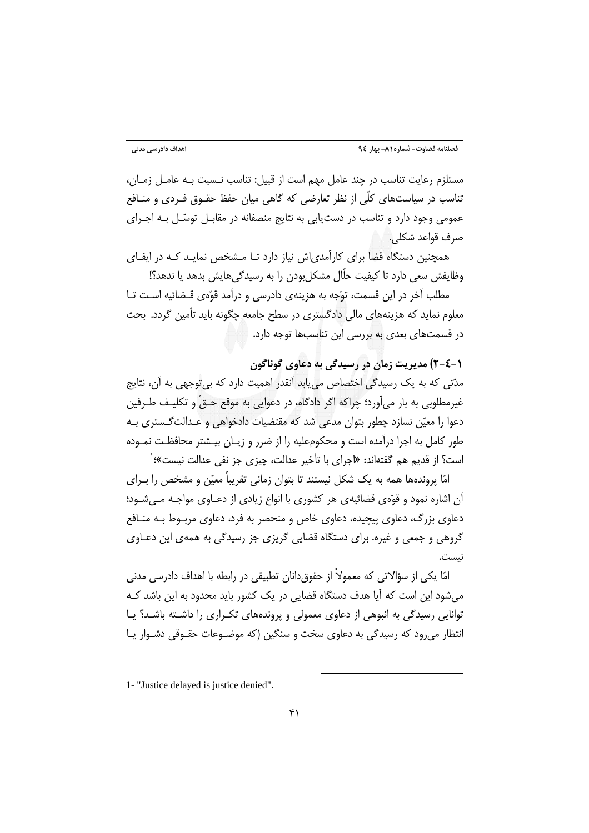مستلزم رعايت تناسب در چند عامل مهم است از قبيل: تناسب نـسبت بـه عامـل زمـان، تناسب در سیاستهای کلّی از نظر تعارضی که گاهی میان حفظ حقـوق فـردی و منـافع عمومی وجود دارد و تناسب در دست یابی به نتایج منصفانه در مقابـل توسّـل بـه اجـرای صرف قواعد شكلي.

همچنین دستگاه قضا برای کارآمدی|ش نیاز دارد تـا مـشخص نمایـد کـه در ایفـای وظایفش سعی دارد تا کیفیت حلّال مشکل بودن را به رسیدگی هایش بدهد یا ندهد؟!

مطلب آخر در این قسمت، توّجه به هزینهی دادرسی و درآمد قوّهی قـضائیه اسـت تـا معلوم نماید که هزینههای مالی دادگستری در سطح جامعه چگونه باید تأمین گردد. بحث در قسمتهای بعدی به بررسی این تناسبها توجه دارد.

(-٤-٢) مديريت زمان در رسيدگي به دعاوي گوناگون

مدّتی که به یک رسیدگی اختصاص می یابد آنقدر اهمیت دارد که بی توجهی به آن، نتایج غیرمطلوبی به بار میآورد؛ چراکه اگر دادگاه، در دعوایی به موقع حـقّ و تکلیـف طـرفین دعوا را معیّن نسازد چطور بتوان مدعی شد که مقتضیات دادخواهی و عـدالت گـستری بـه طور کامل به اجرا درآمده است و محکومعلیه را از ضرر و زیـان بیـشتر محافظـت نمـوده است؟ از قدیم هم گفتهاند: «اجرای با تأخیر عدالت، چیزی جز نفی عدالت نیست»؛`

امّا پروندهها همه به یک شکل نیستند تا بتوان زمانی تقریباً معیّن و مشخص را بـرای آن اشاره نمود و قوَّمي قضائيهي هر كشوري با انواع زيادي از دعــاوي مواجــه مــيشــود؛ دعاوی بزرگ، دعاوی پیچیده، دعاوی خاص و منحصر به فرد، دعاوی مربـوط بـه منـافع گروهی و جمعی و غیره. برای دستگاه قضایی گریزی جز رسیدگی به همهی این دعـاوی نىست.

امّا یکی از سؤالاتی که معمولاً از حقوق دانان تطبیقی در رابطه با اهداف دادرسی مدنی می شود این است که آیا هدف دستگاه قضایی در یک کشور باید محدود به این باشد کـه توانایی رسیدگی به انبوهی از دعاوی معمولی و پروندههای تکراری را داشته باشد؟ یا انتظار می رود که رسیدگی به دعاوی سخت و سنگین (که موضـوعات حقـوقی دشـوار پـا

<sup>1- &</sup>quot;Justice delayed is justice denied".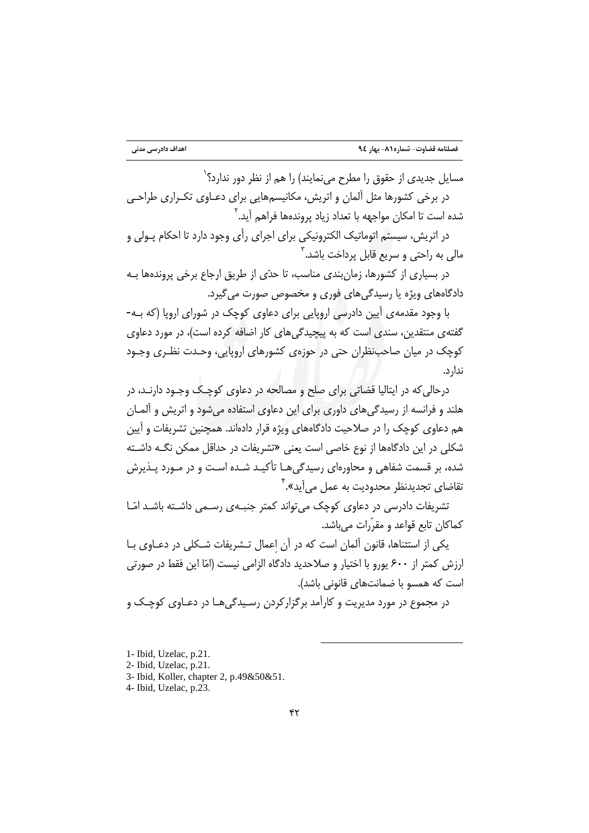مسایل جدیدی از حقوق را مطرح مینمایند) را هم از نظر دور ندارد؟`

در برخی کشورها مثل آلمان و اتریش، مکانیسمهایی برای دعـاوی تکـراری طراحـی شده است تا امکان مواجهه با تعداد زیاد پروندهها فراهم آید.<sup>۲</sup>

در اتریش، سیستم اتوماتیک الکترونیکی برای اجرای رأی وجود دارد تا احکام پـولی و مالي به راحتي و سريع قابل پرداخت باشد. ۳

در بسیاری از کشورها، زمان بندی مناسب، تا حدّی از طریق ارجاع برخی پروندهها بـه دادگاههای ویژه یا رسیدگی های فوری و مخصوص صورت می گیرد.

با وجود مقدمه ی آیین دادرسی اروپایی برای دعاوی کوچک در شورای اروپا (که بـه-گفتهی منتقدین، سندی است که به بیجیدگی های کار اضافه کرده است)، در مورد دعاوی کوچک در میان صاحب نظران حتی در حوزوی کشورهای اروپایی، وحـدت نظـری وجـود ندار د.

درحالي که در ايتاليا قضاتي براي صلح و مصالحه در دعاوي کوچـک وجـود دارنـد، در هلند و فرانسه از رسیدگی های داوری برای این دعاوی استفاده می شود و اتریش و آلمـان هم دعاوی کوچک را در صلاحیت دادگاههای ویژه قرار دادهاند. همچنین تشریفات و آیین شکلی در این دادگاهها از نوع خاصی است یعنی «تشریفات در حداقل ممکن نگـه داشـته شده، بر قسمت شفاهی و محاورهای رسیدگی هـا تأکیـد شـده اسـت و در مـورد پـذیرش تقاضای تجدیدنظر محدودیت به عمل می آید».<sup>۴</sup>

تشریفات دادرسی در دعاوی کوچک می تواند کمتر جنبـهی رسـمی داشـته باشـد امّـا كماكان تابع قواعد و مقرّرات ميباشد.

یکی از استثناها، قانون آلمان است که در آن اعمال تـشریفات شـکلی در دعــاوی بــا ارزش كمتر از ۶۰۰ يورو با اختيار و صلاحديد دادگاه الزامي نيست (امّا اين فقط در صورتي است که همسو با ضمانتهای قانونی باشد).

در مجموع در مورد مدیریت و کارآمد برگزارکردن رسیدگیهـا در دعـاوی کوچـک و

<sup>1-</sup> Ibid, Uzelac, p.21.

<sup>2-</sup> Ibid, Uzelac, p.21.

<sup>3-</sup> Ibid, Koller, chapter 2, p.49&50&51.

<sup>4-</sup> Ibid, Uzelac, p.23.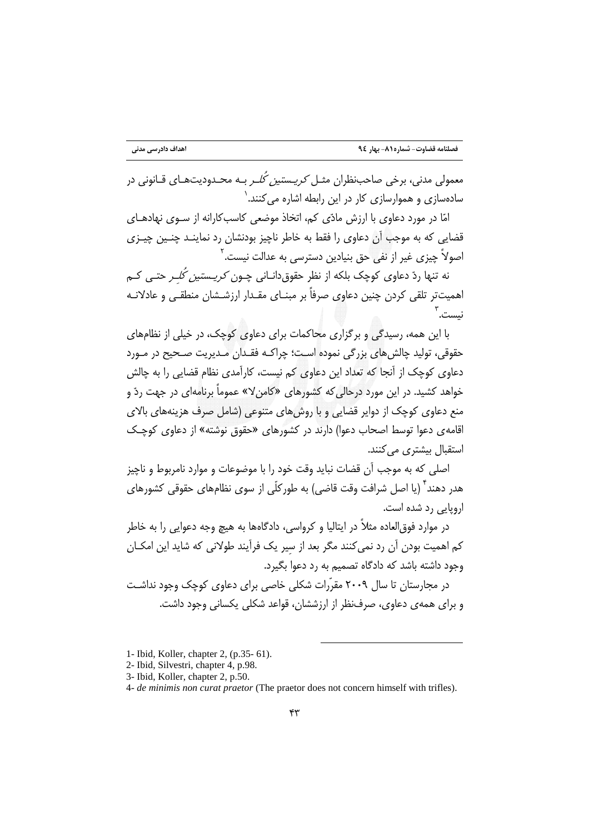.<br>معمولی مدنی، برخی صاحب نظران مثبل *کریستین کُل*ے بیه محیدودیت هیای قیانونی در سادهسازی و هموارسازی کار در این رابطه اشاره می کنند.`

امّا در مورد دعاوی با ارزش مادّی کم، اتخاذ موضعی کاسبکارانه از سـوی نهادهــای قضایی که به موجب آن دعاوی را فقط به خاطر ناچیز بودنشان رد نماینـد چنـین چیـزی اصولاً چیزی غیر از نفی حق بنیادین دسترسی به عدالت نیست.<sup>۲</sup>

نه تنها ردّ دعاوی کوچک بلکه از نظر حقوق(دانـانی چـون *کریـستین کُلـر* حتـی کـم اهمیتتر تلقی کردن چنین دعاوی صرفاً بر مبنــای مقــدار ارزشــشان منطقــی و عادلانــه نىست. "

با این همه، رسیدگی و برگزاری محاکمات برای دعاوی کوچک، در خیلی از نظامهای حقوقي، توليد چالش هاي بزرگي نموده است؛ چراکـه فقـدان مـديريت صـحيح در مـورد دعاوی کوچک از آنجا که تعداد این دعاوی کم نیست، کارآمدی نظام قضایی را به چالش خواهد کشید. در این مورد درحالی که کشورهای «کامن۷» عموماً برنامهای در جهت ردّ و منع دعاوی کوچک از دوایر قضایی و با روشهای متنوعی (شامل صرف هزینههای بالای اقامه ی دعوا توسط اصحاب دعوا) دارند در کشورهای «حقوق نوشته» از دعاوی کوچک استقبال بیشتری می کنند.

اصلي كه به موجب آن قضات نبايد وقت خود را با موضوعات و موارد نامربوط و ناچيز هدر دهند ٌ (یا اصل شرافت وقت قاضی) به طورکلّی از سوی نظامهای حقوقی کشورهای اروپایی رد شده است.

در موارد فوق|لعاده مثلاً در ایتالیا و کرواسی، دادگاهها به هیچ وجه دعوایی را به خاطر کم اهمیت بودن آن رد نمی کنند مگر بعد از سیر یک فرآیند طولانی که شاید این امکــان وجود داشته باشد که دادگاه تصمیم به رد دعوا بگیرد.

در محارستان تا سال ۲۰۰۹ مقرّرات شکلی خاصی برای دعاوی کوچک وجود نداشـت و برای همهی دعاوی، صرفنظر از ارزششان، قواعد شکلی یکسانی وجود داشت.

<sup>1-</sup> Ibid, Koller, chapter 2, (p.35-61).

<sup>2-</sup> Ibid, Silvestri, chapter 4, p.98.

<sup>3-</sup> Ibid, Koller, chapter 2, p.50.

<sup>4-</sup> de minimis non curat praetor (The praetor does not concern himself with trifles).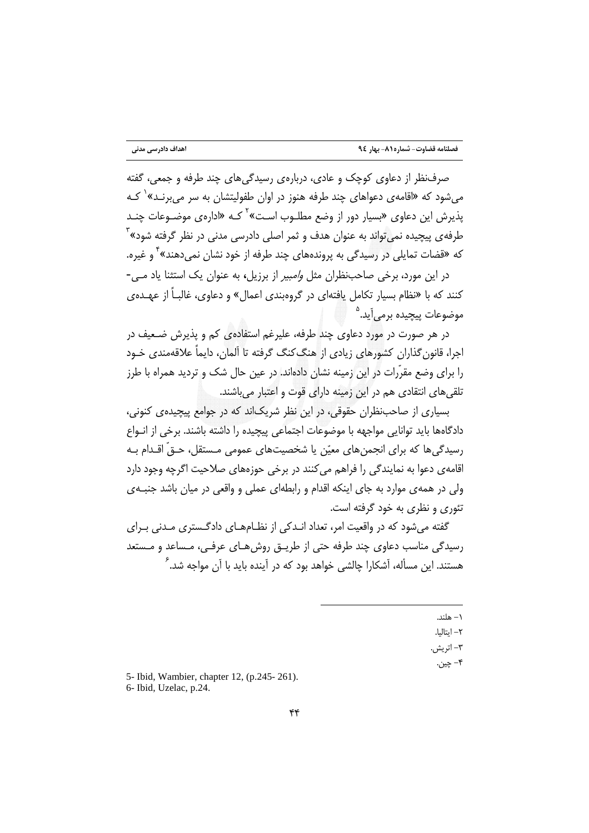صرف نظر از دعاوی کوچک و عادی، درباره ی رسیدگی های چند طرفه و جمعی، گفته می شود که «اقامهی دعواهای چند طرفه هنوز در اوان طفولیتشان به سر می برنـد»<sup>۱</sup> کـه یذیرش این دعاوی «بسیار دور از وضع مطلـوب اسـت»<sup>۲</sup> کـه «ادارهی موضـوعات چنـد طرفه ی پیچیده نمی تواند به عنوان هدف و ثمر اصلی دادرسی مدنی در نظر گرفته شود»<sup>۳</sup> که «قضات تمایلی در رسیدگی به پروندههای چند طرفه از خود نشان نمی دهند» <sup>۲</sup> و غیره.

در این مورد، برخی صاحبِنظران مثل *وامبیر* از برزیل، به عنوان یک استثنا یاد مے -کنند که با «نظام بسیار تکامل یافتهای در گروهبندی اعمال» و دعاوی، غالبـاً از عهـده ی موضوعات پیچیده برمی[ید.<sup>۵</sup>

در هر صورت در مورد دعاوی چند طرفه، علیرغم استفادهی کم و پذیرش ضـعیف در اجرا، قانون گذاران کشورهای زیادی از هنگ کنگ گرفته تا آلمان، دایماً علاقهمندی خـود را برای وضع مقرّرات در این زمینه نشان دادهاند. در عین حال شک و تردید همراه با طرز تلقی های انتقادی هم در این زمینه دارای قوت و اعتبار می باشند.

بسیاری از صاحب:نظران حقوقی، در این نظر شریک|ند که در جوامع پیچیدهی کنونی، دادگاهها باید توانایی مواجهه با موضوعات اجتماعی پیچیده را داشته باشند. برخی از انـواع رسیدگی ها که برای انجمن های معیّن یا شخصیتهای عمومی مـستقل، حـقّ اقـدام بـه اقامهی دعوا به نمایندگی را فراهم می کنند در برخی حوزههای صلاحیت اگرچه وجود دارد ولی در همه ی موارد به جای اینکه اقدام و رابطهای عملی و واقعی در میان باشد جنبه ی تئوري و نظري په خود گرفته است.

گفته می شود که در واقعیت امر، تعداد انـدکی از نظـامهـای دادگـستری مـدنی بـرای رسیدگی مناسب دعاوی چند طرفه حتی از طریــق روش۵هــای عرفــی، مـساعد و مـستعد هستند. این مسأله، آشکارا چالشی خواهد بود که در آینده باید با آ<sub>ن</sub> مواجه شد.<sup>۶</sup>

- ۱ هلند.
- ٢- ايتاليا.
- ٣- اتريش.
- ۴– ڇين.

5- Ibid, Wambier, chapter 12, (p.245-261). 6- Ibid, Uzelac, p.24.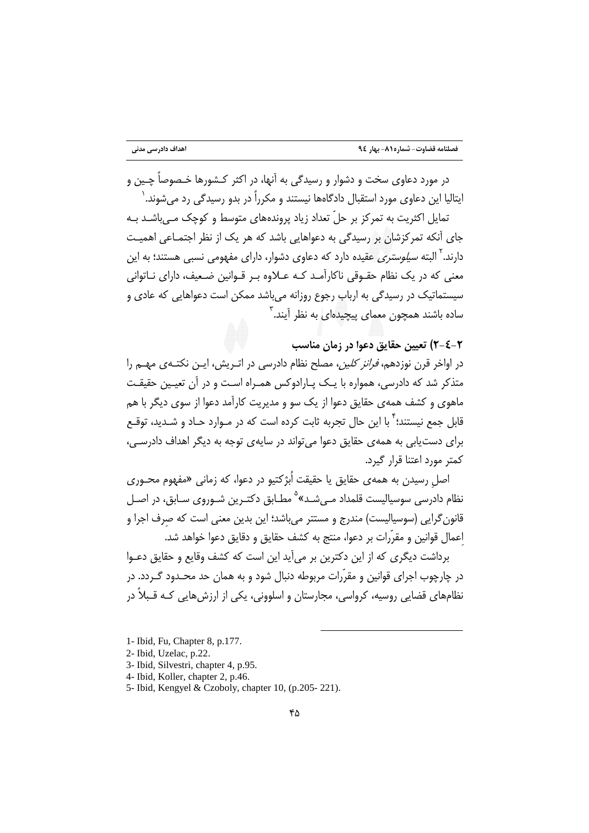در مورد دعاوي سخت و دشوار و رسېدگې په آنها، در اکثر کـشورها خـصوصاً چـین و ایتالیا این دعاوی مورد استقبال دادگاهها نیستند و مکرراً در بدو رسیدگی رد می شوند.`

تمایل اکثریت به تمرکز بر حلّ تعداد زیاد پروندههای متوسط و کوچک مے ،باشـد بـه جای آنکه تمرکزشان بر رسیدگی به دعواهایی باشد که هر یک از نظر اجتمـاعی اهمیـت دارند.<sup>۲</sup> البته *سیلوستری* عقیده دارد که دعاوی دشوار، دارای مفهومی نسبی هستند؛ به این معنی که در یک نظام حقـوقی ناکارآمـد کـه عـلاوه بـر قـوانین ضـعیف، دارای نــاتوانی سیستماتیک در رسیدگی به ارباب رجوع روزانه می باشد ممکن است دعواهایی که عادی و ساده باشند همچون معمای پیچیدهای به نظر آیند.<sup>۳</sup>

### ٢-٤-٢) تعيين حقايق دعوا در زمان مناسب

در اواخر قرن نوزدهم، *فرانز کلین،* مصلح نظام دادرسی در اتـریش، ایـن نکتـهی مهـم را متذکر شد که دادرسی، همواره با یـک پـارادوکس همـراه اسـت و در آن تعیـین حقیقـت ماهوی و کشف همهی حقایق دعوا از یک سو و مدیریت کارآمد دعوا از سوی دیگر با هم قابل جمع نیستند؛ ٌ با این حال تجربه ثابت کرده است که در مـوارد حـاد و شـدید، توقـع برای دست یابی به همهی حقایق دعوا می تواند در سایهی توجه به دیگر اهداف دادرسی، كمتر مورد اعتنا قرار گیرد.

اصل رسیدن به همهی حقایق یا حقیقت اُبژکتیو در دعوا، که زمانی «مفهوم محـوری نظام دادرسی سوسیالیست قلمداد مـی شـد»<sup>۵</sup> مطـابق دکتـرین شـوروی سـابق، در اصـل قانون گرایی (سوسیالیست) مندرج و مستتر میباشد؛ این بدین معنی است که صرف اجرا و اعمال قوانين و مقرَّرات بر دعوا، منتج به كشف حقايق و دقايق دعوا خواهد شد.

برداشت دیگری که از این دکترین بر می∫ید این است که کشف وقایع و حقایق دعـوا در چارچوب اجرای قوانین و مقرّرات مربوطه دنبال شود و به همان حد محـدود گـردد. در نظامهای قضایی روسیه، کرواسی، مجارستان و اسلوونی، یکی از ارزش هایی کـه قـبلاً در

- 2- Ibid, Uzelac, p.22.
- 3- Ibid, Silvestri, chapter 4, p.95.
- 4- Ibid, Koller, chapter 2, p.46.
- 5- Ibid, Kengyel & Czoboly, chapter 10, (p.205-221).

<sup>1-</sup> Ibid, Fu, Chapter 8, p.177.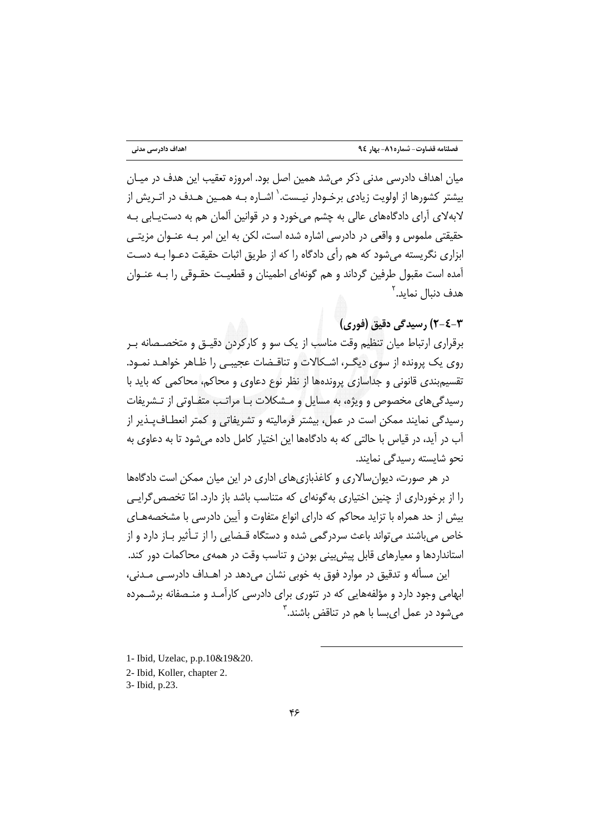میان اهداف دادرسی مدنی ذکر می شد همین اصل بود. امروزه تعقیب این هدف در میـان بیشتر کشورها از اولویت زیادی برخـودار نیـست.<sup>\</sup> اشـاره بـه همـین هـدف در اتـریش از لابهلای آرای دادگاههای عالی به چشم میخورد و در قوانین آلمان هم به دستیبابی بـه حقیقتی ملموس و واقعی در دادرسی اشاره شده است، لکن به این امر بـه عنـوان مزیتـی ابزاری نگریسته می شود که هم رأی دادگاه را که از طریق اثبات حقیقت دعـوا بـه دسـت آمده است مقبول طرفین گرداند و هم گونهای اطمینان و قطعیت حقـوقی را بـه عنـوان هدف دنیال نماید.<sup>۲</sup>

٣-٤-٢) , سيدگي دقيق (فوري)

برقراری ارتباط میان تنظیم وقت مناسب از یک سو و کارکردن دقیـق و متخصـصانه بـر روی یک پرونده از سوی دیگـر، اشـکالات و تناقـضات عجیبـی را ظـاهر خواهـد نمـود. تقسیم بندی قانونی و جداسازی پروندهها از نظر نوع دعاوی و محاکم، محاکمی که باید با رسیدگی های مخصوص و ویژه، به مسایل و مـشکلات بـا مراتـب متفـاوتی از تـشریفات رسیدگی نمایند ممکن است در عمل، بیشتر فرمالیته و تشریفاتی و کمتر انعطـاف<code>پـذیر</code> از آب در آید، در قیاس با حالتی که به دادگاهها این اختیار کامل داده میشود تا به دعاوی به نحو شایسته رسیدگی نمایند.

در هر صورت، دیوان سالاری و کاغذبازیهای اداری در این میان ممکن است دادگاهها را از برخورداری از چنین اختیاری به گونهای که متناسب باشد باز دارد. امّا تخصص گرایبی بیش از حد همراه با تزاید محاکم که دارای انواع متفاوت و آیین دادرسی با مشخصههـای خاص می باشند می تواند باعث سردرگمی شده و دستگاه قـضایی را از تـأثیر بـاز دارد و از استانداردها و معیارهای قابل پیش بینی بودن و تناسب وقت در همهی محاکمات دور کند. این مسأله و تدقیق در موارد فوق به خوبی نشان میدهد در اهـداف دادرسـی مـدنی،

ابهامی وجود دارد و مؤلفههایی که در تئوری برای دادرسی کارآمد و منصفانه برشـمرده مے شود در عمل ای سا یا هم در تناقض باشند.<sup>۳</sup>

- 1- Ibid. Uzelac. p.p.10&19&20.
- 2- Ibid. Koller, chapter 2.
- 3- Ibid, p.23.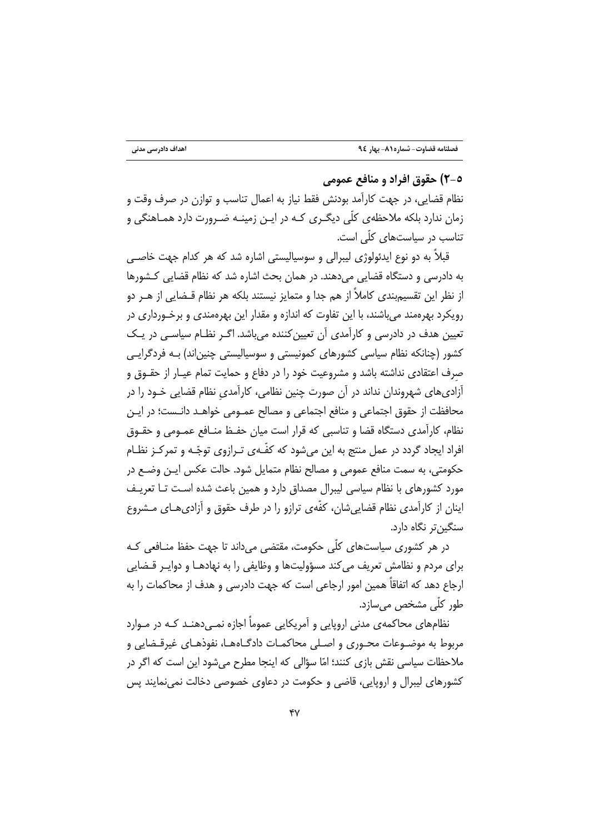### ٥-٢) حقوق افراد و منافع عمومي

نظام قضایی، در جهت کارآمد بودنش فقط نیاز به اعمال تناسب و توازن در صرف وقت و زمان ندارد بلکه ملاحظهی کلّی دیگـری کـه در ایـن زمینـه ضـرورت دارد همـاهنگی و تناسب در سیاستهای کلّی است.

قبلاً به دو نوع ایدئولوژی لیبرالی و سوسیالیستی اشاره شد که هر کدام جهت خاصـی به دادرسی و دستگاه قضایی میدهند. در همان بحث اشاره شد که نظام قضایی کـشورها از نظر این تقسیمبندی کاملاً از هم جدا و متمایز نیستند بلکه هر نظام قـضایی از هــر دو رويکرد بهرهمند مي باشند، با اين تفاوت که اندازه و مقدار اين بهرهمندي و برخـورداري در تعیین هدف در دادرسی و کارآمدی آن تعیین کننده می باشد. اگـر نظـام سیاسـی در یـک کشور (چنانکه نظام سیاسی کشورهای کمونیستی و سوسیالیستی چنین|ند) بـه فردگرایـی صرف اعتقادی نداشته باشد و مشروعیت خود را در دفاع و حمایت تمام عیـار از حقـوق و آزادیهای شهروندان نداند در آن صورت چنین نظامی، کارآمدی نظام قضایی خـود را در محافظت از حقوق اجتماعی و منافع اجتماعی و مصالح عمـومی خواهـد دانـست؛ در ایـن نظام، كارآمدي دستگاه قضا و تناسبي كه قرار است ميان حفـظ منـافع عمـومي و حقـوق افراد ایجاد گردد در عمل منتج به این می شود که کفّـهی تـرازوی توجّـه و تمرکـز نظـام حکومتی، به سمت منافع عمومی و مصالح نظام متمایل شود. حالت عکس ایـن وضـع در مورد کشورهای با نظام سیاسی لیبرال مصداق دارد و همین باعث شده است تـا تعریـف اینان از کارآمدی نظام قضایی شان، کفّهی ترازو را در طرف حقوق و آزادی هـای مــشروع سنگېنټر نگاه دارد.

در هر کشوری سیاستهای کلّی حکومت، مقتضی می داند تا جهت حفظ منـافعی کـه برای مردم و نظامش تعریف می کند مسؤولیتها و وظایفی را به نهادهـا و دوایـر قـضایی ارجاع دهد که اتفاقاً همین امور ارجاعی است که جهت دادرسی و هدف از محاکمات را به طور کلّی مشخص می سازد.

نظامهای محاکمهی مدنی اروپایی و آمریکایی عموماً اجازه نمـی دهنـد کـه در مـوارد مربوط به موضـوعات محـوري و اصـلي محاكمـات دادگـاههـا، نفوذهـاي غيرقـضايي و ملاحظات سیاسی نقش بازی کنند؛ امّا سؤالی که اینجا مطرح میشود این است که اگر در کشورهای لیبرال و اروپایی، قاضی و حکومت در دعاوی خصوصی دخالت نمی،نمایند پس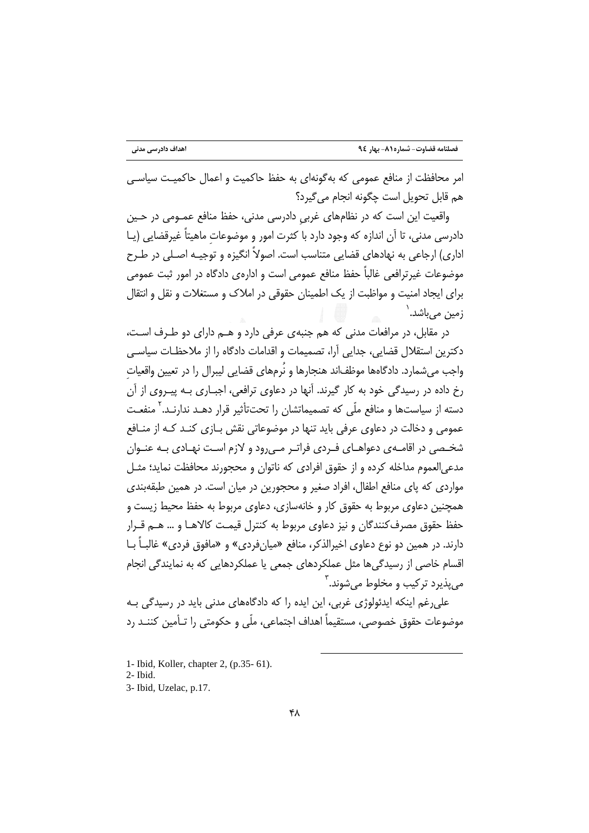امر محافظت از منافع عمومی که بهگونهای به حفظ حاکمیت و اعمال حاکمیت سیاسی هم قابل تحويل است چگونه انجام مي گيرد؟

واقعیت این است که در نظامهای غربی دادرسی مدنی، حفظ منافع عمـومی در حـین دادرسی مدنی، تا آن اندازه که وجود دارد با کثرت امور و موضوعات ماهیتاً غیرقضایی (یـا اداری) ارجاعی به نهادهای قضایی متناسب است. اصولاً انگیزه و توجیـه اصـلی در طـرح موضوعات غیر ترافعی غالباً حفظ منافع عمومی است و ادارەی دادگاه در امور ثبت عمومی برای ایجاد امنیت و مواظبت از یک اطمینان حقوقی در املاک و مستغلات و نقل و انتقال زمین مے باشد.`

در مقابل، در مرافعات مدنی که هم جنبهی عرفی دارد و هـم دارای دو طـرف اسـت، دكترين استقلال قضايي، جدايي آرا، تصميمات و اقدامات دادگاه را از ملاحظـات سياسـي واجب می شمارد. دادگاهها موظفاند هنجارها و نُرمهای قضایی لیبرال را در تعیین واقعیات رخ داده در رسیدگی خود به کار گیرند. آنها در دعاوی ترافعی، اجبـاری بـه پیـروی از آن دسته از سیاستها و منافع ملّی که تصمیماتشان را تحتتأثیر قرار دهـد ندارنـد.<sup>۲</sup> منف*عـت* عمومی و دخالت در دعاوی عرفی باید تنها در موضوعاتی نقش بــازی کنــد کـه از منــافع شخـصی در اقامـهی دعواهـای فـردی فراتـر مـی٫رود و لازم اسـت نهـادی بـه عنـوان مدعی|لعموم مداخله کرده و از حقوق افرادی که ناتوان و محجورند محافظت نماید؛ مثـل مواردی که پای منافع اطفال، افراد صغیر و محجورین در میان است. در همین طبقهبندی همچنین دعاوی مربوط به حقوق کار و خانهسازی، دعاوی مربوط به حفظ محیط زیست و حفظ حقوق مصرف كنندگان و نيز دعاوى مربوط به كنترل قيمت كالاهـا و … هــم قــرار دارند. در همین دو نوع دعاوی اخیرالذکر، منافع «میانِفردی» و «مافوق فردی» غالبــاً بــا اقسام خاصی از رسیدگی ها مثل عملکردهای جمعی یا عملکردهایی که به نمایندگی انجام مي پذيرد ترکيب و مخلوط مي شوند. آ

علی رغم اینکه ایدئولوژی غربی، این ایده را که دادگاههای مدنی باید در رسیدگی بـه موضوعات حقوق خصوصی، مستقیماً اهداف اجتماعی، ملّی و حکومتی را تـأمین کننـد رد

<sup>1-</sup> Ibid, Koller, chapter 2, (p.35- 61).

 $2$ - Ibid.

<sup>3-</sup> Ibid, Uzelac, p.17.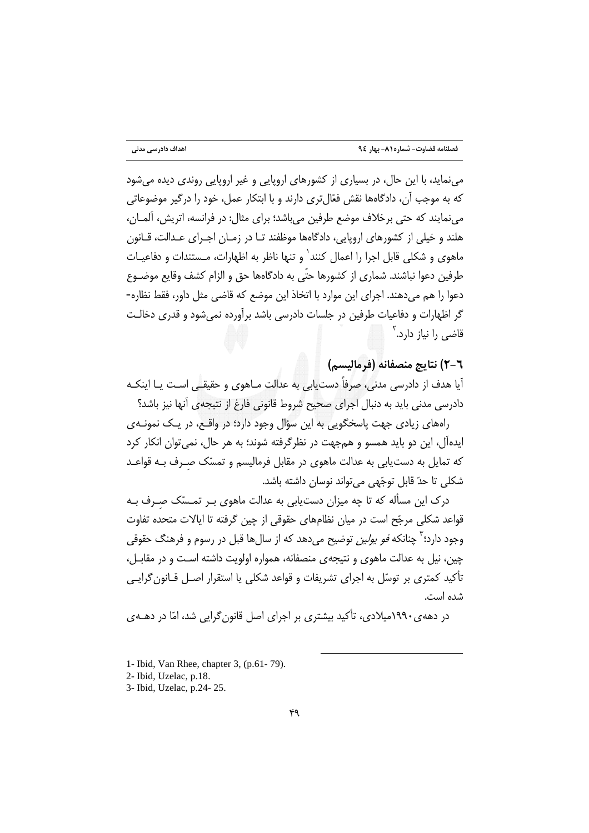می نماید، با این حال، در بسیاری از کشورهای اروپایی و غیر اروپایی روندی دیده می شود که به موجب آن، دادگاهها نقش فعّال تری دارند و با ابتکار عمل، خود را درگیر موضوعاتی می نمایند که حتی برخلاف موضع طرفین می باشد؛ برای مثال: در فرانسه، اتریش، آلمـان، هلند و خیلی از کشورهای اروپایی، دادگاهها موظفند تـا در زمـان اجـرای عـدالت، قـانون ماهوی و شکلی قابل اجرا را اعمال کنند<sup>\</sup> و تنها ناظر به اظهارات، مـستندات و دفاعیـات طرفين دعوا نباشند. شماري از كشورها حتّى به دادگاهها حق و الزام كشف وقايع موضـوع دعوا را هم می دهند. اجرای این موارد با اتخاذ این موضع که قاضی مثل داور، فقط نظاره-گر اظهارات و دفاعیات طرفین در جلسات دادرسی باشد برآورده نمی شود و قدری دخالـت قاضی ,ا نیاز دارد.<sup>۲</sup>

# ٦-٦) نتايج منصفانه (فرماليسم)

آیا هدف از دادرسی مدنی، صرفاً دست بابی به عدالت مـاهوی و حقیقـی اسـت بـا اینکـه دادرسی مدنی باید به دنبال اجرای صحیح شروط قانونی فارغ از نتیجهی آنها نیز باشد؟

رامهای زیادی جهت پاسخگویی به این سؤال وجود دارد؛ در واقع، در یک نمونـهی ايدهآل، اين دو بايد همسو و همجهت در نظر گرفته شوند؛ به هر حال، نمي توان انكار كرد که تمایل به دستیابی به عدالت ماهوی در مقابل فرمالیسم و تمسّک صـرف بـه قواعـد شكلي تا حدّ قابل توجّهي مي تواند نوسان داشته باشد.

درک این مسأله که تا چه میزان دستیابی به عدالت ماهوی بـر تمـسّک صـرف بـه قواعد شکلی مرجّح است در میان نظامهای حقوقی از چین گرفته تا ایالات متحده تفاوت وجود دارد؛ <sup>۳</sup> چنانکه *فو پولین* توضیح می دهد که از سال ها قبل در رسوم و فرهنگ حقوقی چین، نیل به عدالت ماهوی و نتیجهی منصفانه، همواره اولویت داشته است و در مقابـل، تأكيد كمتري بر توسّل به اجراي تشريفات و قواعد شكلي يا استقرار اصـل قــانون گرايـي شده است.

در دههی۱۹۹۰میلادی، تأکید بیشتری بر اجرای اصل قانون گرایی شد، امّا در دهـهی

<sup>1-</sup> Ibid. Van Rhee, chapter 3, (p.61-79).

<sup>2-</sup> Ibid, Uzelac, p.18.

<sup>3-</sup> Ibid, Uzelac, p.24-25.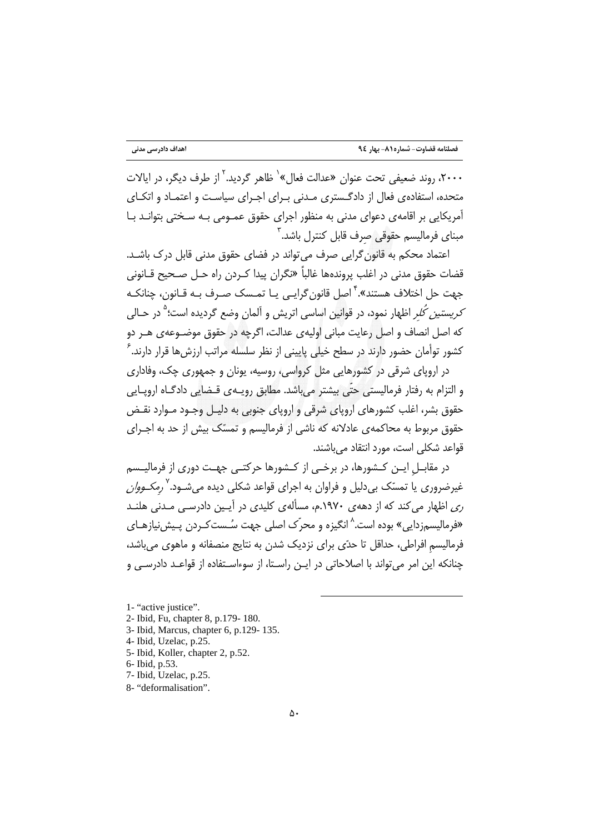۲۰۰۰، روند ضعیفی تحت عنوان «عدالت فعال»<sup>۱</sup> ظاهر گردید.<sup>۲</sup> از طرف دیگر، در ایالات متحده، استفادهی فعال از دادگـستری مـدنی بـرای اجـرای سیاسـت و اعتمـاد و اتکـای آمریکایی بر اقامهی دعوای مدنی به منظور اجرای حقوق عمـومی بـه سـختی بتوانـد بـا مبنای فرمالیسم حقوقی صرف قابل کنترل باشد.<sup>۳</sup>

اعتماد محکم به قانون گرایی صرف می تواند در فضای حقوق مدنی قابل درک باشـد. قضات حقوق مدنی در اغلب پروندهها غالباً «نگران پیدا کـردن راه حـل صـحیح قــانونی جهت حل اختلاف هستند».<sup>۴</sup> اصل قانون گرایـی یـا تمـسک صـرف بـه قـانون، چنانکـه *کریستین کُلر* اظهار نمود، در قوانین اساسی اتریش و آلمان وضع گردیده است؛<sup>۵</sup> در حـالی كه اصل انصاف و اصل رعايت مباني اوليهي عدالت، اگرچه در حقوق موضـوعهي هـر دو کشور توأمان حضور دارند در سطح خیلی پایینی از نظر سلسله مراتب ارزش ها قرار دارند.<sup>۶</sup>

در اروپای شرقی در کشورهایی مثل کرواسی، روسیه، یونان و جمهوری چک، وفاداری و التزام به رفتار فرمالیستی حتّی بیشتر می باشد. مطابق رویـهی قـضایی دادگـاه اروپـایی حقوق بشر، اغلب کشورهای اروپای شرقی و اروپای جنوبی به دلیـل وجـود مـوارد نقـض حقوق مربوط به محاکمهی عادلانه که ناشی از فرمالیسم و تمسّک بیش از حد به اجـرای قواعد شكلي است، مورد انتقاد ميباشند.

در مقابــل ايــن كــشورها، در برخــي از كــشورها حركتــي جهــت دوري از فرماليــسم غیرضروری یا تمسّک بی دلیل و فراوان به اجرای قواعد شکلی دیده می *ش*ـود.<sup>۷</sup> *رمکـووان* ری اظهار می کند که از دههی ۱۹۷۰.م، مسألهی کلیدی در آیـین دادرسـی مـدنی هلنــد «فرمالیسمزدایی» بوده است.<sup>۸</sup> انگیزه و محرّک اصلی جهت سُـس*ت کـ*ردن پـیشiیازهـای فرمالیسم افراطی، حداقل تا حدّی برای نزدیک شدن به نتایج منصفانه و ماهوی میباشد، چنانکه این امر می تواند با اصلاحاتی در ایـن راسـتا، از سوءاسـتفاده از قواعـد دادرسـی و

1- "active justice".

- 3- Ibid, Marcus, chapter 6, p.129- 135.
- 4- Ibid, Uzelac, p.25.
- 5- Ibid, Koller, chapter 2, p.52.
- 6- Ibid, p.53.
- 7- Ibid, Uzelac, p.25.
- 8- "deformalisation".

<sup>2-</sup> Ibid, Fu, chapter 8, p.179-180.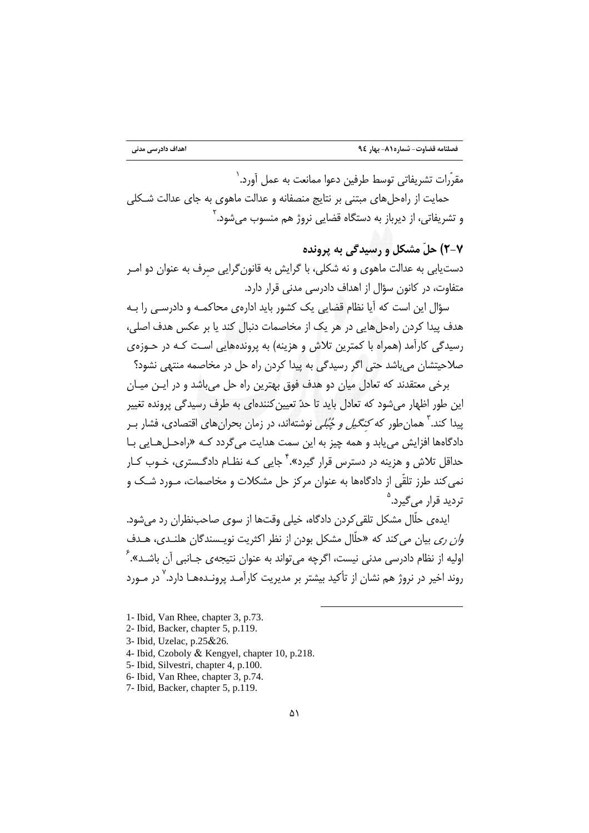مقرّرات تشريفاتي توسط طرفين دعوا ممانعت به عمل آورد. `

حمایت از راهجل های مبتنی بر نتایج منصفانه و عدالت ماهوی به جای عدالت شـکلی و تشریفاتی، از دیرباز به دستگاه قضایی نروژ هم منسوب می شود. ٔ

۲-۲) حلّ مشکل و رسیدگی به پرونده

دستیابی به عدالت ماهوی و نه شکلی، با گرایش به قانونگرایی صرف به عنوان دو امـر متفاوت، در کانون سؤال از اهداف دادرسی مدنی قرار دارد.

سؤال این است که آیا نظام قضایی یک کشور باید ادارهی محاکمـه و دادرسـی را بـه هدف پیدا کردن راهحل هایی در هر یک از مخاصمات دنبال کند یا بر عکس هدف اصلی، رسیدگی کارآمد (همراه با کمترین تلاش و هزینه) به پروندههایی است کـه در حـوزهی صلاحیتشان میباشد حتی اگر رسیدگی به پیدا کردن راه حل در مخاصمه منتهی نشود؟

برخی معتقدند که تعادل میان دو هدف فوق بهترین راه حل میباشد و در ایـن میـان این طور اظهار می شود که تعادل باید تا حدّ تعیین کنندهای به طرف رسیدگی پرونده تغییر پیدا کند.<sup>۳</sup> همان طور که *کنگیل و چُبُلی* نوشتهاند، در زمان بحران های اقتصادی، فشار ب دادگاهها افزايش مي يابد و همه چيز به اين سمت هدايت مي گردد كـه «رامحـلهـايي بـا حداقل تلاش و هزبنه در دسترس قرار گیرد».<sup>۴</sup> جایی کـه نظـام دادگـستری، خـوب کـار نمی کند طرز تلقّی از دادگاهها به عنوان مرکز حل مشکلات و مخاصمات، مـورد شـک و تردید قرار مے <sub>،</sub>گیرد.<sup>۵</sup>

ایده یحلّال مشکل تلقی کردن دادگاه، خیلی وقتها از سوی صاحبِنظران رد می شود. و*ان ري* بيان مي كند كه «حلّال مشكل بودن از نظر اكثريت نويـسندگان هلنـدي، هـدف اوليه از نظام دادرسي مدني نيست، اگرچه مي تواند به عنوان نتيجهي جـانبي آن باشـد». <sup>۶</sup> روند اخیر در نروژ هم نشان از تأکید بیشتر بر مدیریت کارآمـد پرونـدههـا دارد.<sup>۷</sup> در مـورد

- 1- Ibid, Van Rhee, chapter 3, p.73.
- 2- Ibid, Backer, chapter 5, p.119.
- 3- Ibid, Uzelac, p.25&26.
- 4- Ibid, Czoboly & Kengyel, chapter 10, p.218.
- 5- Ibid, Silvestri, chapter 4, p.100.
- 6- Ibid, Van Rhee, chapter 3, p.74.
- 7- Ibid, Backer, chapter 5, p.119.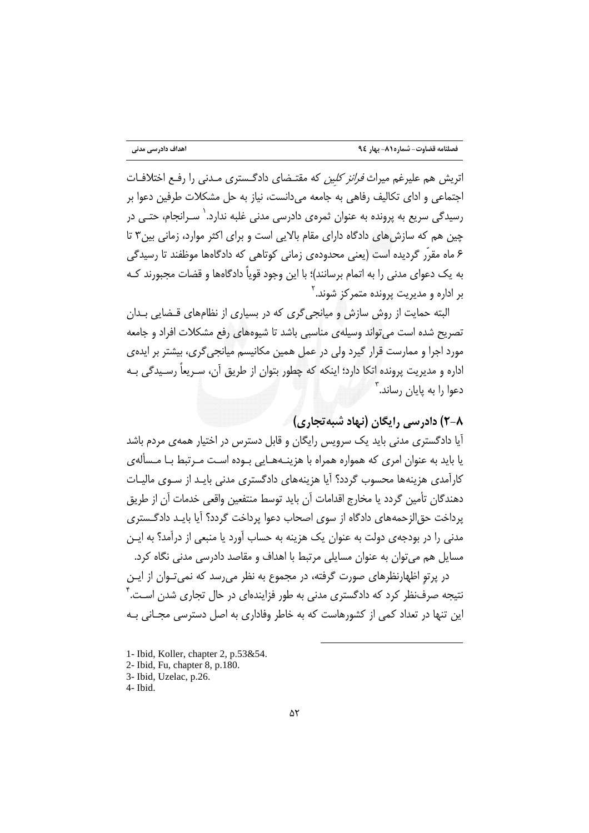اتریش هم علیرغم میراث *فرانز کلین* که مقتـضای دادگـستری مـدنی را رفـع اختلافـات اجتماعی و ادای تکالیف رفاهی به جامعه میدانست، نیاز به حل مشکلات طرفین دعوا بر رسیدگی سریع به پرونده به عنوان ثمرهی دادرسی مدنی غلبه ندارد.<sup>\</sup> سـرانجام، حتـی در چین هم که سازش های دادگاه دارای مقام بالایی است و برای اکثر موارد، زمانی بین۳ تا ۶ ماه مقرّر گردیده است (یعنی محدودهی زمانی کوتاهی که دادگاهها موظفند تا رسیدگی به یک دعوای مدنی را به اتمام برسانند)؛ با این وجود قویاً دادگاهها و قضات مجبورند کـه بر اداره و مدیریت پرونده متمرکز شوند. <sup>۲</sup>

البته حمایت از روش سازش و میانجی گری که در بسیاری از نظامهای قـضایی بـدان تصریح شده است می تواند وسیلهی مناسبی باشد تا شیوههای رفع مشکلات افراد و حامعه مورد اجرا و ممارست قرار گیرد ولی در عمل همین مکانیسم میانجی گری، بیشتر بر ایدهی اداره و مدیریت پرونده اتکا دارد؛ اینکه که چطور بتوان از طریق آن، سـریعاً رسـیدگی بـه  $\mathbb{Z}^r$ دعوا را به پایان رساند.

# ۸-۲) دادرسی رایگان (نهاد شیه تجاری)

آیا دادگستری مدنی باید یک سرویس رایگان و قابل دسترس در اختیار همهی مردم باشد یا باید به عنوان امری که همواره همراه با هزینـههـایی بـوده اسـت مـرتبط بـا مـسألهى کارآمدی هزینهها محسوب گردد؟ آیا هزینههای دادگستری مدنی بایـد از سـوی مالیـات دهندگان تأمين گردد يا مخارج اقدامات آن بايد توسط منتفعين واقعي خدمات آن از طريق یرداخت حق|لزحمههای دادگاه از سوی اصحاب دعوا پرداخت گردد؟ آیا بایـد دادگـستری مدنی را در بودجهی دولت به عنوان یک هزینه به حساب آورد یا منبعی از درآمد؟ به ایـن مسایل هم میتوان به عنوان مسایلی مرتبط با اهداف و مقاصد دادرسی مدنی نگاه کرد.

در پرتو اظهارنظرهای صورت گرفته، در مجموع به نظر می رسد که نمی تـوان از ایـن نتیجه صرفنظر کرد که دادگستری مدنی به طور فزایندهای در حال تجاری شدن اسـت.<sup>۴</sup> این تنها در تعداد کمی از کشورهاست که به خاطر وفاداری به اصل دسترسی مجـانی بـه

- 1- Ibid, Koller, chapter 2, p.53&54.
- 2- Ibid, Fu, chapter 8, p.180.
- 3- Ibid, Uzelac, p.26.

<sup>4-</sup> Ibid.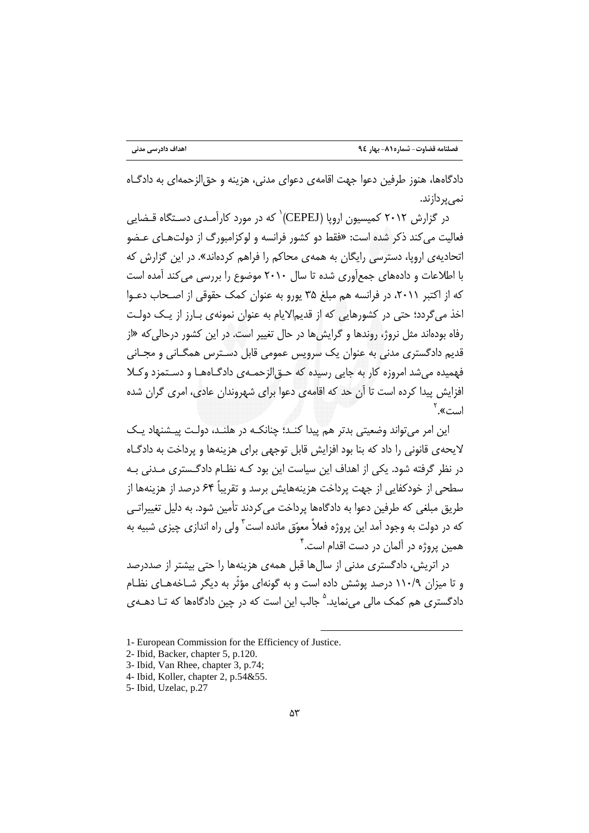دادگاهها، هنوز طرفين دعوا جهت اقامهي دعواي مدني، هزينه و حق|لزحمه|ي به دادگـاه نمے پر دازند.

در گزارش ۲۰۱۲ کمیسیون اروپا (CEPEJ)<sup>۱</sup> که در مورد کارآمـدی دسـتگاه قـضایی فعالیت می کند ذکر شده است: «فقط دو کشور فرانسه و لوکزامبورگ از دولتهای عـضو اتحادیهی اروپا، دسترسی رایگان به همهی محاکم را فراهم کردهاند». در این گزارش که با اطلاعات و دادههای جمعآوری شده تا سال ۲۰۱۰ موضوع را بررسی می کند آمده است که از اکتبر ۲۰۱۱، در فرانسه هم مبلغ ۳۵ پورو به عنوان کمک حقوقی از اصـحاب دعـوا اخذ می گردد؛ حتی در کشورهایی که از قدیم۱لایام به عنوان نمونهی بـارز از یـک دولـت رفاه بودهاند مثل نروژ، روندها و گرایش ها در حال تغییر است. در این کشور درحالی که «از قدیم دادگستری مدنی به عنوان یک سرویس عمومی قابل دسـترس همگـانی و مجـانی فهمیده می شد امروزه کار به جایی رسیده که حــوّ الزحمــهی دادگــاههــا و دســتمزد وکــلا افزایش پیدا کرده است تا آن حد که اقامهی دعوا برای شهروندان عادی، امری گران شده است».<sup>۲</sup>

این امر می تواند وضعیتی بدتر هم پیدا کنـد؛ چنانکـه در هلنـد، دولـت پیـشنهاد یـک لایحهی قانونی را داد که بنا بود افزایش قابل توجهی برای هزینهها و پرداخت به دادگـاه در نظر گرفته شود. یکی از اهداف این سیاست این بود کـه نظـام دادگـستری مـدنی بـه سطحی از خودکفایی از جهت پرداخت هزینههایش برسد و تقریباً ۶۴ درصد از هزینهها از طریق مبلغی که طرفین دعوا به دادگاهها پرداخت می کردند تأمین شود. به دلیل تغییراتـی که در دولت به وجود آمد این پروژه فعلاً معوّق مانده است<sup>۳</sup> ولی راه اندازی چیزی شبیه به همین پروژه در آلمان در دست اقدام است.<sup>۴</sup>

در اتریش، دادگستری مدنی از سالها قبل همهی هزینهها را حتی بیشتر از صددرصد و تا میزان ۱۱۰/۹ درصد پوشش داده است و به گونهای مؤثّر به دیگر شـاخههـای نظـام دادگستری هم کمک مالی می نماید.<sup>۵</sup> جالب این است که در چین دادگاهها که تـا دهــهی

<sup>1-</sup> European Commission for the Efficiency of Justice.

<sup>2-</sup> Ibid, Backer, chapter 5, p.120.

<sup>3-</sup> Ibid, Van Rhee, chapter 3, p.74;

<sup>4-</sup> Ibid, Koller, chapter 2, p.54&55.

<sup>5-</sup> Ibid, Uzelac, p.27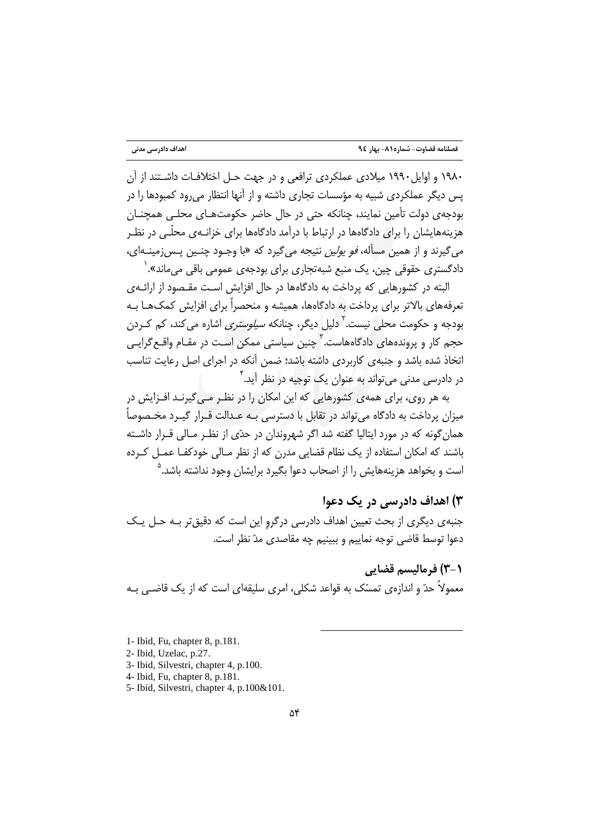۱۹۸۰ و اوایل ۱۹۹۰ میلادی عملکردی ترافعی و در جهت حـل اختلافـات داشـتند از آن یس دیگر عملکردی شبیه به مؤسسات تجاری داشته و از آنها انتظار می رود کمبودها را در بودجهی دولت تأمین نمایند، چنانکه حتی در حال حاضر حکومتهـای محلـی همچنـان هزینههایشان را برای دادگاهها در ارتباط با درآمد دادگاهها برای خزانـهی محلّـی در نظـر می گیرند و از همین مسأله، *فو یولین* نتیجه می گیرد که «با وجـود چنـین پـس;مینـهای، دادگستری حقوقی چین، یک منبع شبهتجاری برای بودجهی عمومی باقی می ماند». `

البته در کشورهایی که پرداخت به دادگاهها در حال افزایش است مقـصود از ارائـهی تعرفههای بالاتر برای پرداخت به دادگاهها، همیشه و منحصراً برای افزایش کمک هـا بـه بودجه و حکومت محلی نیست.<sup>۲</sup> دلیل دیگر، چنانکه *سیلوستری* اشاره می کند، کم کـردن حجم کار و پروندههای دادگاههاست.<sup>۳</sup> چنین سیاستی ممکن است در مقـام واقـع *گ*رایـی اتخاذ شده باشد و جنبهى كاربردى داشته باشد؛ ضمن آنكه در اجراى اصل رعايت تناسب در دادرسی مدنی می تواند به عنوان یک توجیه در نظر آید. ٌ

به هر روی، برای همهی کشورهایی که این امکان را در نظـر مـی گیرنـد افـزایش در میزان پرداخت به دادگاه می تواند در تقابل با دسترسی بـه عـدالت قـرار گیـرد مخـصوصاً همان گونه که در مورد ایتالیا گفته شد اگر شهروندان در حدّی از نظـر مـالی قـرار داشـته باشند که امکان استفاده از یک نظام قضایی مدرن که از نظر مـالی خودکفـا عمـل کـرده است و بخواهد هزینههایش را از اصحاب دعوا بگیرد برایشان وجود نداشته باشد.<sup>۵</sup>

### ۳) اهداف داد, سے در یک دعوا

جنبهی دیگری از بحث تعیین اهداف دادرسی درگرو این است که دقیق تر بـه حـل یـک دعوا توسط قاضی توجه نماییم و ببینیم چه مقاصدی مدّ نظر است.

**(-3) فرمالیسم قضایی** 

معمولاً حدّ و اندازهی تمسّک به قواعد شکلی، امری سلیقهای است که از یک قاضـی بـه

1- Ibid, Fu, chapter 8, p.181.

- 2- Ibid, Uzelac, p.27.
- 3- Ibid, Silvestri, chapter 4, p.100.
- 4- Ibid, Fu, chapter 8, p.181.

5- Ibid, Silvestri, chapter 4, p.100&101.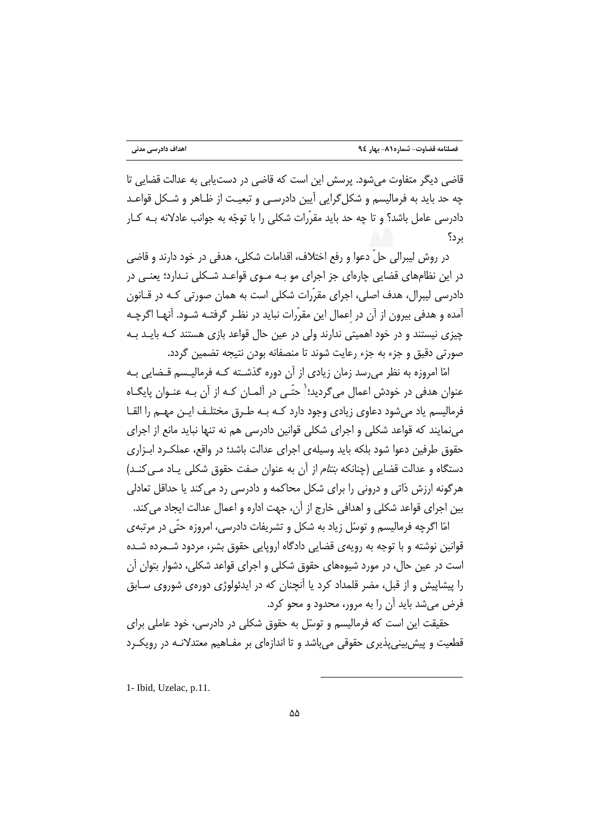قاضی دیگر متفاوت می شود. پرسش این است که قاضی در دست،یابی به عدالت قضایی تا چه حد باید به فرمالیسم و شکل گرایی آیین دادرسـی و تبعیـت از ظـاهر و شـکل قواعـد دادرسی عامل باشد؟ و تا چه حد باید مقرّرات شکلی را با توجّه به جوانب عادلانه بـه کـار ں د؟

در روش ليبرالي حلِّ دعوا و رفع اختلاف، اقدامات شكلي، هدفي در خود دارند و قاضي در این نظامهای قضایی چارهای جز اجرای مو بـه مـوی قواعـد شـکلی نـدارد؛ یعنـی در دادرسی لیبرال، هدف اصلی، اجرای مقرّرات شکلی است به همان صورتی کـه در قـانون آمده و هدفي بيرون از آن در اعمال اين مقرّرات نبايد در نظـر گرفتـه شـود. آنهـا اگرچـه چیزی نیستند و در خود اهمیتی ندارند ولی در عین حال قواعد بازی هستند کـه بایـد بـه صورتی دقیق و جزء به جزء رعایت شوند تا منصفانه بودن نتیجه تضمین گردد.

امّا امروزه به نظر می رسد زمان زیادی از آن دوره گذشـته کـه فرمالیـسم قـضایی بـه عنوان هدفی در خودش اعمال میگردید؛<sup>(</sup> حتّـی در آلمـان کـه از آن بـه عنـوان پایگـاه فرمالیسم یاد می شود دعاوی زیادی وجود دارد کـه بـه طـرق مختلـف ایـن مهـم را القـا می نمایند که قواعد شکلی و اجرای شکلی قوانین دادرسی هم نه تنها نباید مانع از اجرای حقوق طرفین دعوا شود بلکه باید وسیلهی اجرای عدالت باشد؛ در واقع، عملک رد ابـزاری دستگاه و عدالت قضایی (چنانکه *بنتام* از آن به عنوان صفت حقوق شکلی یـاد مـی کنـد) هرگونه ارزش ذاتی و درونی را برای شکل محاکمه و دادرسی رد می کند یا حداقل تعادلی بین اجرای قواعد شکلی و اهدافی خارج از آن، جهت اداره و اعمال عدالت ایجاد می کند.

امّا اگرچه فرمالیسم و توسّل زیاد به شکل و تشریفات دادرسی، امروزه حتّی در مرتبهی قوانین نوشته و با توجه به رویهی قضایی دادگاه اروپایی حقوق بشر، مردود شــمرده شــده است در عین حال، در مورد شیوههای حقوق شکلی و اجرای قواعد شکلی، دشوار بتوان آن را پیشاپیش و از قبل، مضر قلمداد کرد یا آنچنان که در ایدئولوژی دورهی شوروی سـابق فرض می شد باید آن را به مرور، محدود و محو کرد.

حقیقت این است که فرمالیسم و توسّل به حقوق شکلی در دادرسی، خود عاملی برای قطعیت و پیش بینی پذیری حقوقی می باشد و تا اندازهای بر مفـاهیم معتدلانـه در رویکـرد

1- Ibid, Uzelac, p.11.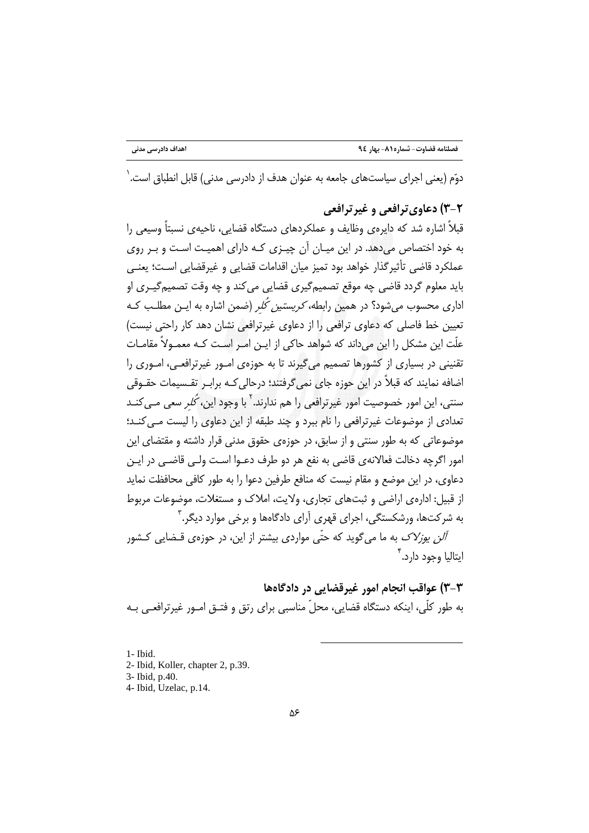دوّم (یعنی اجرای سیاستهای جامعه به عنوان هدف از دادرسی مدنی) قابل انطباق است. <sup>(</sup>

#### ۲-۳) دعاوی ترافعی و غیر ترافعی

قبلاً اشاره شد که دایرهی وظایف و عملکردهای دستگاه قضایی، ناحیهی نسبتاً وسیعی را به خود اختصاص میدهد. در این میـان آن چیـزی کـه دارای اهمیـت اسـت و بـر روی عملكرد قاضي تأثير گذار خواهد بود تميز ميان اقدامات قضايي و غيرقضايي اسـت؛ يعنـي باید معلوم گردد قاضی چه موقع تصمیمگیری قضایی میکند و چه وقت تصمیمگیـری او اداری محسوب میشود؟ در همین رابطه*، کریستین کُلر* (ضمن اشاره به ایـن مطلـب کـه تعیین خط فاصلی که دعاوی ترافعی را از دعاوی غیرترافعی نشان دهد کار راحتی نیست) علّت این مشکل را این میداند که شواهد حاکی از ایـن امـر اسـت کـه معمـولاً مقامـات تقنینی در بسیاری از کشورها تصمیم میگیرند تا به حوزهی امـور غیرترافعـی، امـوری را اضافه نمایند که قبلاً در این حوزه جای نمی5رفتند؛ درحالی کـه برابـر تقـسیمات حقـوقی سنتی، این امور خصوصیت امور غیرترافعی را هم ندارند. <sup>۲</sup> با وجود این، *کُلر* سعی مـی *کنـ*د تعدادی از موضوعات غیرترافعی را نام ببرد و چند طبقه از این دعاوی را لیست مـی کنـد؛ موضوعاتی که به طور سنتی و از سابق، در حوزهی حقوق مدنی قرار داشته و مقتضای این امور اگرچه دخالت فعالانهی قاضی به نفع هر دو طرف دعـوا اسـت ولـی قاضـی در ایـن دعاوی، در این موضع و مقام نیست که منافع طرفین دعوا را به طور کافی محافظت نماید از قبیل: ادارهی اراضی و ثبتهای تجاری، ولایت، املاک و مستغلات، موضوعات مربوط به شرکتها، ورشکستگی، اجرای قهری آرای دادگاهها و برخی موارد دیگر.<sup>۳</sup>

*آلن یوزلاک* به ما می گوید که حتّی مواردی بیشتر از این، در حوزهی قـضایی کـشور ايتاليا وجود دارد.<sup>۴</sup>

٣-٣) عواقب انجام امور غيرقضايي در دادگاهها به طور كلَّى، اينكه دستگاه قضايي، محلَّ مناسبي براي رتق و فتـق امـور غيرترافعـي بـه

1- Ibid.

- 2- Ibid, Koller, chapter 2, p.39.
- 3- Ibid, p.40.
- 4- Ibid, Uzelac, p.14.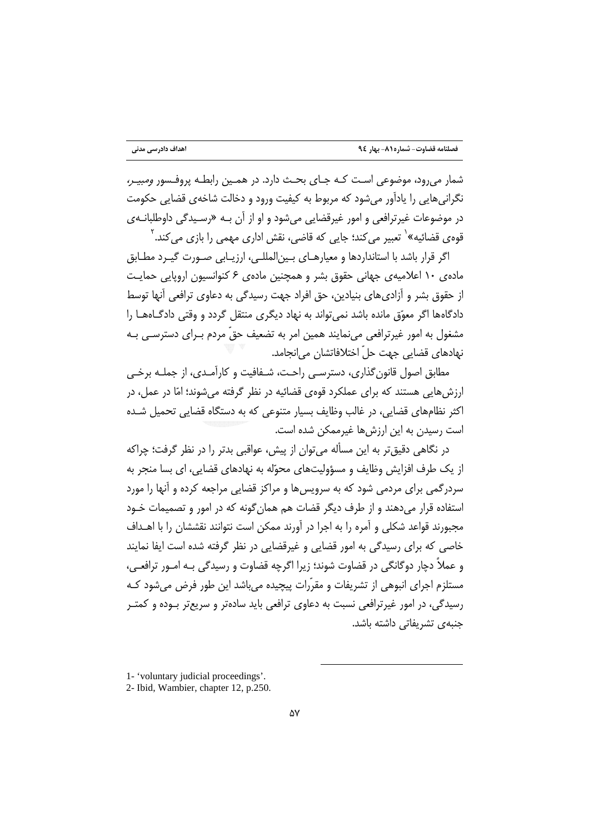شمار می رود، موضوعی است کـه جـای بحـث دارد. در همـین رابطـه پروفـسور *ومبیـر،* نگرانی هایی را پادآور می شود که مربوط به کیفیت ورود و دخالت شاخهی قضایی حکومت در موضوعات غيرترافعي و امور غيرقضايي مي شود و او از آن بـه «رسـيدگي داوطلبانـهي قووی قضائیه»<sup>\</sup> تعبیر می کند؛ جایی که قاضی، نقش اداری مهمی را بازی می کند. <sup>۲</sup>

اگر قرار باشد با استانداردها و معیارهـای بـین|لمللـی، ارزیـابی صـورت گیـرد مطـابق ماده ی ۱۰ اعلامیهی جهانی حقوق بشر و همچنین مادهی ۶ کنوانسیون اروپایی حمایت از حقوق بشر و آزادی های بنیادین، حق افراد جهت رسیدگی به دعاوی ترافعی آنها توسط دادگاهها اگر معوّق مانده باشد نمیتواند به نهاد دیگری منتقل گردد و وقتی دادگـاههـا را مشغول به امور غیرترافعی می،نمایند همین امر به تضعیف حقّ مردم بـرای دسترسـی بـه نهادهاي قضايي جهت حلّ اختلافاتشان مي انجامد.

مطابق اصول قانون گذاری، دسترسـی راحـت، شـفافیت و کارآمـدی، از جملـه برخـی ارزشهایی هستند که برای عملکرد قوهی قضائیه در نظر گرفته میشوند؛ امّا در عمل، در اکثر نظامهای قضایی، در غالب وظایف بسیار متنوعی که به دستگاه قضایی تحمیل شـده است رسیدن به این ارزش ها غیرممکن شده است.

در نگاهی دقیق تر به این مسأله می توان از پیش، عواقبی بدتر را در نظر گرفت؛ چراکه از یک طرف افزایش وظایف و مسؤولیتهای محوّله به نهادهای قضایی، ای بسا منجر به سردرگمی برای مردمی شود که به سرویس ها و مراکز قضایی مراجعه کرده و آنها را مورد استفاده قرار میدهند و از طرف دیگر قضات هم همان گونه که در امور و تصمیمات خـود مجبورند قواعد شكلي و آمره را به اجرا در آورند ممكن است نتوانند نقششان را با اهــداف خاصي كه براي رسيدگي به امور قضايي و غيرقضايي در نظر گرفته شده است ايفا نمايند و عملاً دچار دوگانگی در قضاوت شوند؛ زیرا اگرچه قضاوت و رسیدگی بـه امـور ترافعـی، مستلزم اجرای انبوهی از تشریفات و مقرّرات پیچیده می باشد این طور فرض می شود کـه رسیدگی، در امور غیرترافعی نسبت به دعاوی ترافعی باید سادهتر و سریعتر بـوده و کمتـر جنبهى تشريفاتي داشته باشد.

<sup>1- &#</sup>x27;voluntary judicial proceedings'.

<sup>2-</sup> Ibid, Wambier, chapter 12, p.250.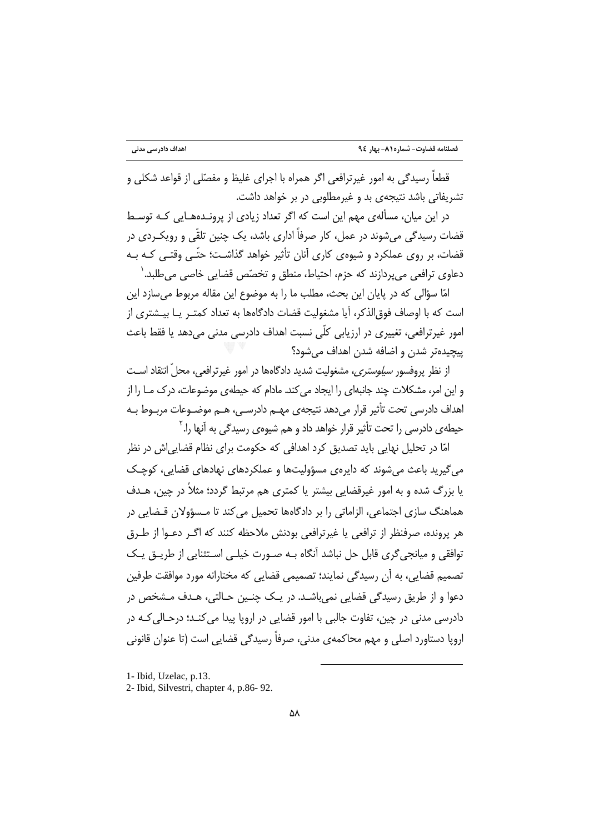قطعاً رسیدگی به امور غیرترافعی اگر همراه با اجرای غلیظ و مفصّلی از قواعد شکلی و تشریفاتی باشد نتیجهی بد و غیرمطلوبی در بر خواهد داشت.

در این میان، مسألهی مهم این است که اگر تعداد زیادی از پرونـدههـایی کـه توسـط قضات رسیدگی می،شوند در عمل، کار صرفاً اداری باشد، یک چنین تلقّی و رویک ردی در قضات، بر روی عملکرد و شیوهی کاری آنان تأثیر خواهد گذاشت؛ حتّـی وقتـی کـه بـه دعاوي ترافعي مي پردازند كه حزم، احتياط، منطق و تخصّص قضايي خاصي مي طلبد. ٰ

امّا سؤالی که در پایان این بحث، مطلب ما را به موضوع این مقاله مربوط می سازد این است كه با اوصاف فوق|لذكر، آيا مشغوليت قضات دادگاهها به تعداد كمتـر يــا بيــشتري از امور غیرترافعی، تغییری در ارزیابی کلّی نسبت اهداف دادرسی مدنی می دهد یا فقط باعث پيچيدەتر شدن و اضافه شدن اهداف مے شود؟

از نظر پروفسور *سیلوستری،* مشغولیت شدید دادگاهها در امور غیرترافعی، محلّ انتقاد اسـت و این امر، مشکلات چند جانبهای را ایجاد می کند. مادام که حیطهی موضوعات، درک مـا را از اهداف دادرسی تحت تأثیر قرار می دهد نتیجهی مهــم دادرســی، هــم موضــوعات مربــوط بــه حیطهی دادرسی را تحت تأثیر قرار خواهد داد و هم شیوهی رسی*دگی* به آنها را.<sup>۲</sup>

امّا در تحلیل نهایی باید تصدیق کرد اهدافی که حکومت برای نظام قضاییاش در نظر می گیرید باعث میشوند که دایرهی مسؤولیتها و عملکردهای نهادهای قضایی، کوچک یا بزرگ شده و به امور غیرقضایی بیشتر یا کمتری هم مرتبط گردد؛ مثلاً در چین، هـدف هماهنگ سازی اجتماعی، الزاماتی را بر دادگاهها تحمیل می کند تا مـسؤولان قـضایی در هر پرونده، صرفنظر از ترافعي يا غيرترافعي بودنش ملاحظه كنند كه اگـر دعـوا از طـرق توافقی و میانجی گری قابل حل نباشد آنگاه بـه صـورت خیلـی اسـتثنایی از طریــق یـک تصمیم قضایی، به آن رسیدگی نمایند؛ تصمیمی قضایی که مختارانه مورد موافقت طرفین دعوا و از طريق رسيدگي قضايي نمي باشـد. در يـک چنـين حـالتي، هـدف مـشخص در دادرسی مدنی در چین، تفاوت جالبی با امور قضایی در اروپا پیدا می کنـد؛ درحـالی کـه در اروپا دستاورد اصلی و مهم محاکمهی مدنی، صرفاً رسیدگی قضایی است (تا عنوان قانونی

<sup>1-</sup> Ibid, Uzelac, p.13.

<sup>2-</sup> Ibid, Silvestri, chapter 4, p.86-92.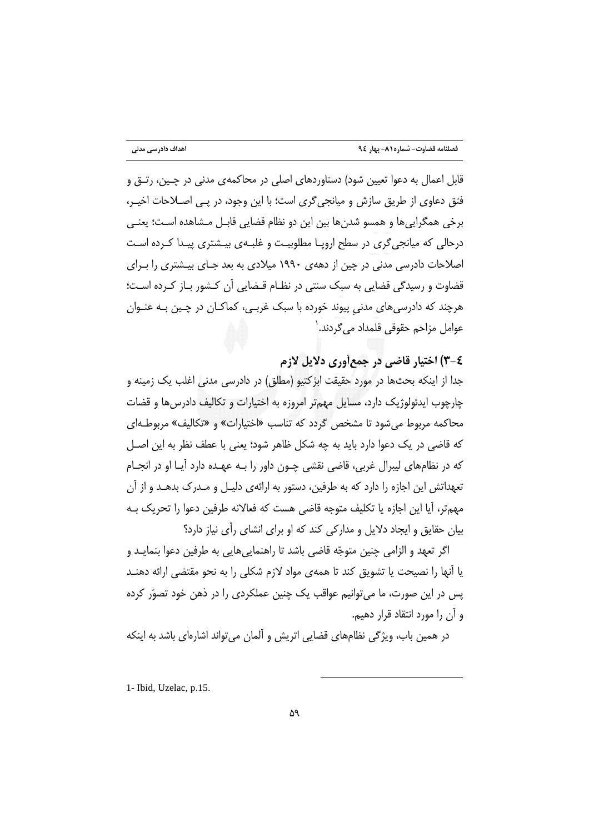قابل اعمال به دعوا تعیین شود) دستاوردهای اصلی در محاکمهی مدنی در چـین، رتـق و فتق دعاوی از طریق سازش و میانجی گری است؛ با این وجود، در یـی اصـلاحات اخیـر، برخي همگرايي ها و همسو شدن ها بين اين دو نظام قضايي قابـل مـشاهده اسـت؛ يعنـي درحالی که میانجی گری در سطح اروپـا مطلوبیـت و غلبـهی بیـشتری پیـدا کـرده اسـت اصلاحات دادرسی مدنی در چین از دههی ۱۹۹۰ میلادی به بعد جـای بیـشتری را بـرای قضاوت و رسیدگی قضایی به سبک سنتی در نظـام قـضایی آن کـشور بـاز کـرده اسـت؛ هرچند که دادرسیِهای مدنی پیوند خورده با سبک غربـی، کماکـان در چـین بـه عنـوان عوامل مزاحم حقوقی قلمداد می گردند. `

### ٤-٣) اختيار قاضي در جمعأوري دلايل لازم

جدا از اینکه بحثها در مورد حقیقت ابژکتیو (مطلق) در دادرسی مدنی اغلب یک زمینه و چارچوب ایدئولوژیک دارد، مسایل مهمتر امروزه به اختیارات و تکالیف دادرسها و قضات محاکمه مربوط میشود تا مشخص گردد که تناسب «اختیارات» و «تکالیف» مربوطـهای که قاضی در یک دعوا دارد باید به چه شکل ظاهر شود؛ یعنی با عطف نظر به این اصـل که در نظامهای لیبرال غربی، قاضی نقشی چـون داور را بـه عهـده دارد آیـا او در انجـام تعهداتش این اجازه را دارد که به طرفین، دستور به ارائهی دلیـل و مـدرک بدهـد و از آن مهمتر، آیا این اجازه یا تکلیف متوجه قاضی هست که فعالانه طرفین دعوا را تحریک بـه بیان حقایق و ایجاد دلایل و مدارکی کند که او برای انشای رأی نیاز دارد؟

اگر تعهد و الزامی چنین متوجّه قاضی باشد تا راهنمایی هایی به طرفین دعوا بنمایـد و یا آنها را نصیحت یا تشویق کند تا همهی مواد لازم شکلی را به نحو مقتضی ارائه دهنـد یس در این صورت، ما می توانیم عواقب یک چنین عملکردی را در ذهن خود تصوّر کرده و آن را مورد انتقاد قرار دهیم.

در همین باب، ویژگی نظامهای قضایی اتریش و آلمان میتواند اشارهای باشد به اینکه

1- Ibid, Uzelac, p.15.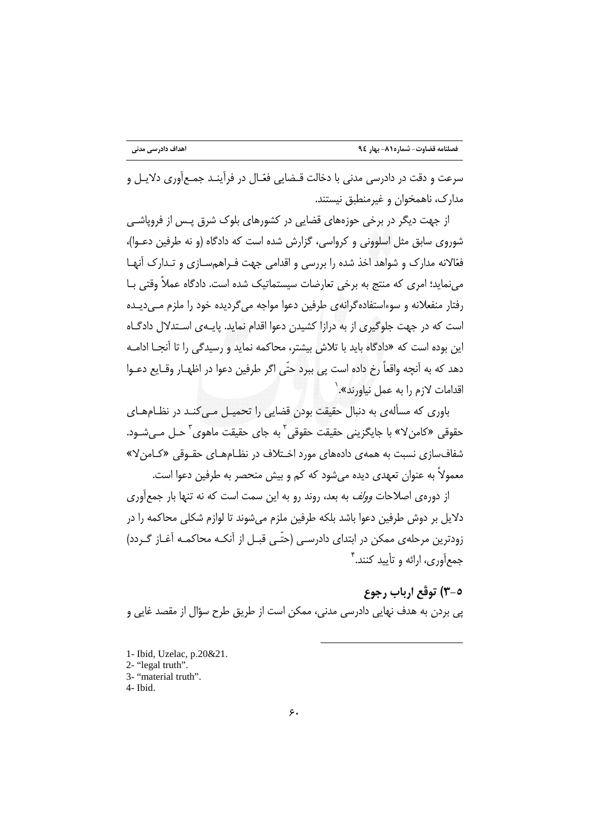سرعت و دقت در دادرسی مدنی با دخالت قـضایی فعّـال در فرآینـد جمـع|َوری دلایـل و مدارک، ناهمخوان و غیرمنطبق نیستند.

از جهت دیگر در برخی حوزههای قضایی در کشورهای بلوک شرق پـس از فروپاشـی شوروی سابق مثل اسلوونی و کرواسی، گزارش شده است که دادگاه (و نه طرفین دعـوا)، فعّالانه مدارک و شواهد اخذ شده را بررسی و اقدامی جهت فـراهمسـازی و تـدارک آنهـا می نماید؛ امری که منتج به برخی تعارضات سیستماتیک شده است. دادگاه عملاً وقتی بـا رفتار منفعلانه و سوءاستفاده گرانه ی طرفین دعوا مواجه می گردیده خود را ملزم مےدیـده است که در جهت جلوگیری از به درازا کشیدن دعوا اقدام نماید. پایـهی اسـتدلال دادگــاه این بوده است که «دادگاه باید با تلاش بیشتر، محاکمه نماید و رسیدگی را تا آنجـا ادامـه دهد كه به آنچه واقعاً رخ داده است يي ببرد حتّى اگر طرفين دعوا در اظهـار وقــايع دعــوا اقدامات لازم را به عمل نباورند».

باوری که مسألهی به دنبال حقیقت بودن قضایی را تحمیـل مـی کنـد در نظـامهـای حقوقي «کامنِ لا» با جايگزيني حقيقت حقوقي <sup>۲</sup> به جاي حقيقت ماهوي <sup>۳</sup> حـل مـي شـود. شفافسازی نسبت به همهی دادههای مورد اخـتلاف در نظـامهـای حقـوقی «کـامن۷» معمولاً به عنوان تعهدي ديده مي شود كه كم و بيش منحصر به طرفين دعوا است.

از دوروی اصلاحات *وولف* به بعد، روند رو به این سمت است که نه تنها بار جمعآوری .<br>دلایل بر دوش طرفین دعوا باشد بلکه طرفین ملزم می شوند تا لوازم شکلی محاکمه را در زودترین مرحلهی ممکن در ابتدای دادرسـی (حتّـی قبـل از آنکـه محاکمـه آغـاز گـردد) جمعأوري، ارائه و تأييد كنند."

# ٥-٣) توقَّع ارباب رجوع

پی بردن به هدف نهایی دادرسی مدنی، ممکن است از طریق طرح سؤال از مقصد غایی و

- 1- Ibid, Uzelac, p.20&21.
- 2- "legal truth".
- 3- "material truth".
- 4- Ibid.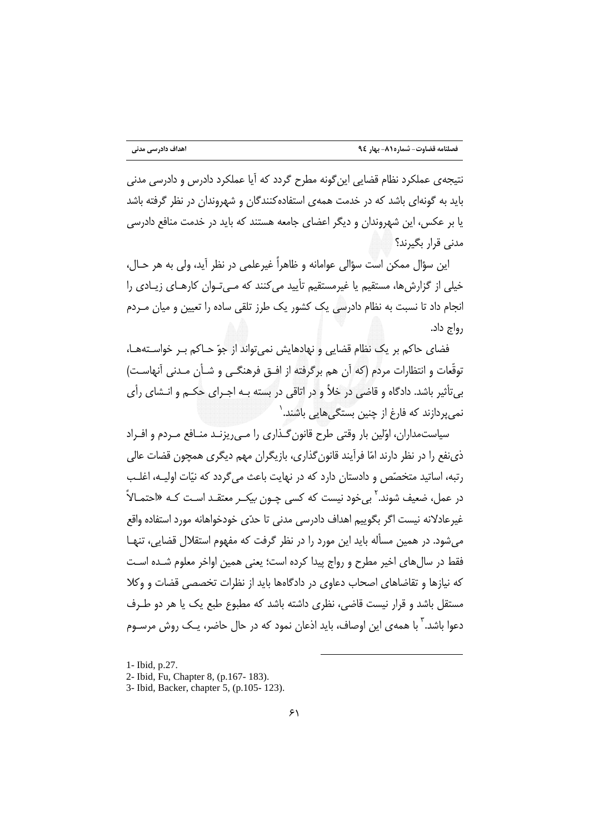اهداف دادرسی مدنی

نتیجهی عملکرد نظام قضایی این گونه مطرح گردد که آیا عملکرد دادرس و دادرسی مدنی باید به گونهای باشد که در خدمت همهی استفادهکنندگان و شهروندان در نظر گرفته باشد یا بر عکس، این شهروندان و دیگر اعضای جامعه هستند که باید در خدمت منافع دادرسی مدنی قرار بگیرند؟

اين سؤال ممكن است سؤالي عوامانه و ظاهراً غيرعلمي در نظر آيد، ولي به هر حـال، خیلی از گزارش ها، مستقیم یا غیرمستقیم تأیید می کنند که مـی تـوان کارهـای زیـادی را انجام داد تا نسبت به نظام دادرسی یک کشور یک طرز تلقی ساده را تعیین و میان مـردم رواج داد.

فضای حاکم بر یک نظام قضایی و نهادهایش نمی تواند از جوّ حـاکم بـر خواسـتههـا، توقّعات و انتظارات مردم (كه آن هم برگرفته از افــق فرهنگــی و شــأن مــدنی آنهاسـت) بیتأثیر باشد. دادگاه و قاضی در خلأ و در اتاقی در بسته بـه اجـرای حکـم و انـشای رأی نمی پردازند که فارغ از چنین بستگی هایی باشند. <sup>(</sup>

سیاستمداران، اوّلین بار وقتی طرح قانون گـذاری را مـی٫ریزنـد منـافع مـردم و افـراد ذي نفع را در نظر دارند امّا فرآيند قانون گذاري، بازيگران مهم ديگري همچون قضات عالي رتبه، اساتید متخصّص و دادستان دارد که در نهایت باعث می گردد که نیّات اولیـه، اغلـب در عمل، ضعیف شوند.<sup>۲</sup> بی خود نیست که کسی چـون *بیکـر* معتقـد اسـت کـه «احتمـالاً غیرعادلانه نیست اگر بگوییم اهداف دادرسی مدنی تا حدّی خودخواهانه مورد استفاده واقع می شود. در همین مسأله باید این مورد را در نظر گرفت که مفهوم استقلال قضایی، تنهـا فقط در سال های اخیر مطرح و رواج پیدا کرده است؛ یعنی همین اواخر معلوم شـده اسـت که نیازها و تقاضاهای اصحاب دعاوی در دادگاهها باید از نظرات تخصصی قضات و وکلا مستقل باشد و قرار نیست قاضی، نظری داشته باشد که مطبوع طبع یک یا هر دو طـرف دعوا باشد.' با همهى اين اوصاف، بايد اذعان نمود كه در حال حاضر، يـك روش مرسـوم

1- Ibid, p.27.

<sup>2-</sup> Ibid, Fu, Chapter 8, (p.167-183).

<sup>3-</sup> Ibid, Backer, chapter 5, (p.105-123).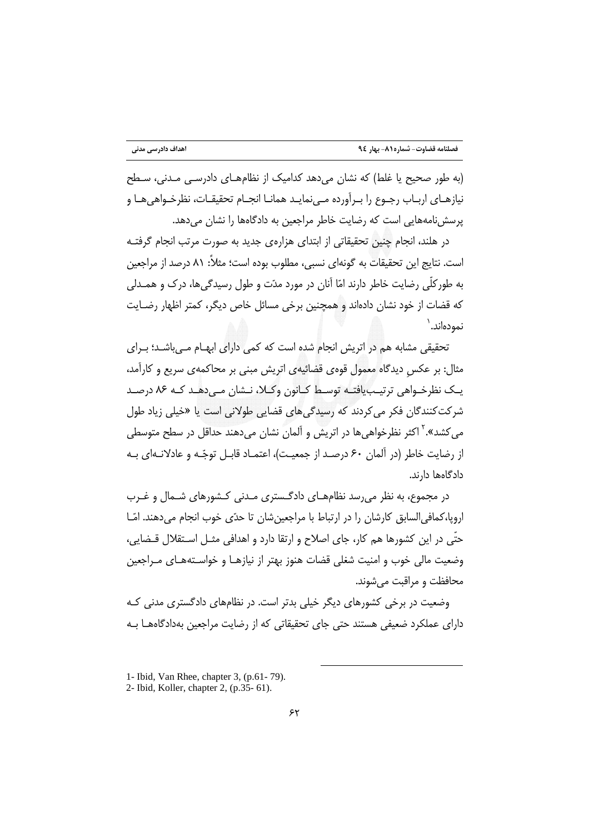(به طور صحیح یا غلط) که نشان می دهد کدامیک از نظامهـای دادرسـی مـدنی، سـطح نيازهـاي اربـاب رجـوع را بـرآورده مـيiمايـد همانـا انجـام تحقيقـات، نظرخـواهي هـا و یرسش نامههایی است که رضایت خاطر مراجعین به دادگاهها را نشان می دهد.

در هلند، انجام چنین تحقیقاتی از ابتدای هزارهی جدید به صورت مرتب انجام گرفتـه است. نتايج اين تحقيقات به گونهاي نسبي، مطلوب بوده است؛ مثلاً: ٨١ درصد از مراجعين به طورکلّی رضایت خاطر دارند امّا آنان در مورد مدّت و طول رسیدگیها، درک و همـدلی كه قضات از خود نشان دادهاند و همچنین برخی مسائل خاص دیگر، كمتر اظهار رضـایت نمودەاند.`

تحقیقی مشابه هم در اتریش انجام شده است که کمی دارای ابهـام مـی باشـد؛ بـرای مثال: بر عكسِ ديدگاه معمول قوهى قضائيهى اتريش مبنى بر محاكمهى سريع و كارآمد، یک نظرخـواهی ترتیـب!فتـه توسـط کـانون وکـلا، نـشان مـی دهـد کـه ۸۶ درصـد شرکت *ک*نندگان فکر می کردند که رسیدگی های قضایی طولانی است یا «خیلی زیاد طول می کشد».<sup>۲</sup> اکثر نظرخواهی ها در اتریش و آلمان نشان میدهند حداقل در سطح متوسطی از رضایت خاطر (در آلمان ۶۰ درصـد از جمعیـت)، اعتمـاد قابـل توجّـه و عادلانـهای بـه دادگاهها دارند.

در مجموع، به نظر می رسد نظامهــای دادگــستری مــدنی کــشورهای شــمال و غــرب اروپا،کمافی|لسابق کارشان را در ارتباط با مراجعینشان تا حدّی خوب انجام میدهند. امّـا حتّی در این کشورها هم کار، جای اصلاح و ارتقا دارد و اهدافی مثـل اسـتقلال قـضایی، وضعيت مالي خوب و امنيت شغلي قضات هنوز بهتر از نيازهـا و خواسـتههـاي مـراجعين محافظت و مراقبت می شوند.

وضعیت در برخی کشورهای دیگر خیلی بدتر است. در نظامهای دادگستری مدنی کـه دارای عملکرد ضعیفی هستند حتی جای تحقیقاتی که از رضایت مراجعین بهدادگاههـا بـه

<sup>1-</sup> Ibid, Van Rhee, chapter 3, (p.61-79).

<sup>2-</sup> Ibid, Koller, chapter 2, (p.35-61).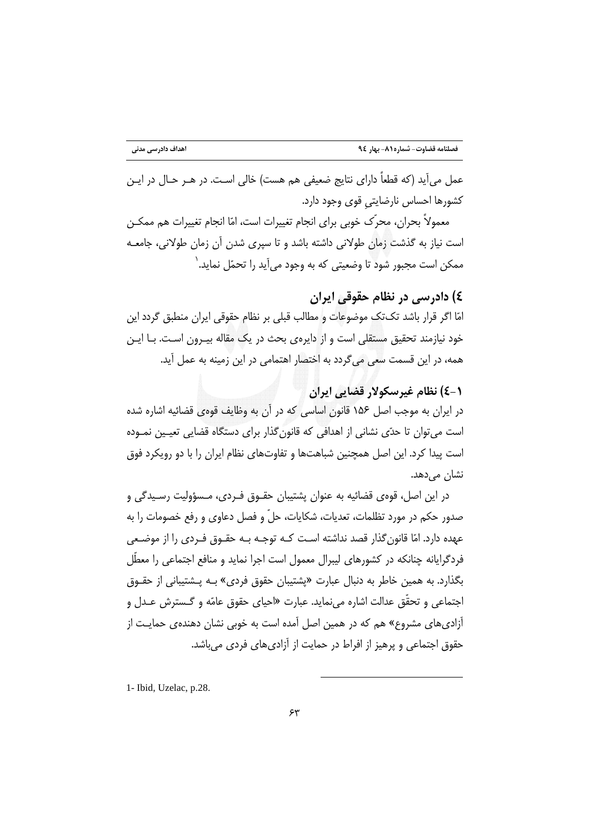عمل می آید (که قطعاً دارای نتایج ضعیفی هم هست) خالی است. در هــر حـال در ایــن كشورها احساس نارضايتي قوى وجود دارد.

معمولاً بحران، محرِّک خوبی برای انجام تغییرات است، امّا انجام تغییرات هم ممکـن است نیاز به گذشت زمان طولانی داشته باشد و تا سپری شدن آن زمان طولانی، جامعـه ممکن است مجبور شود تا وضعیتی که به وجود میآید را تحمّل نماید.`

# ٤) دادرسي در نظام حقوقي ايران

امّا اگر قرار باشد تکتک موضوعات و مطالب قبلی بر نظام حقوقی ایران منطبق گردد این خود نیازمند تحقیق مستقلی است و از دایرهی بحث در یک مقاله بیـرون اسـت. بـا ایـن همه، در این قسمت سعی میگردد به اختصار اهتمامی در این زمینه به عمل آید.

# (-٤) نظام غيرسكولار قضايي ايران

در ایران به موجب اصل ۱۵۶ قانون اساسی که در آن به وظایف قومی قضائیه اشاره شده است می توان تا حدّی نشانی از اهدافی که قانون گذار برای دستگاه قضایی تعیـین نمـوده است پیدا کرد. این اصل همچنین شباهتها و تفاوتهای نظام ایران را با دو رویکرد فوق نشان میدهد.

در این اصل، قوهی قضائیه به عنوان پشتیبان حقـوق فـردی، مـسؤولیت رسـیدگی و صدور حکم در مورد تظلمات، تعدیات، شکایات، حلّ و فصل دعاوی و رفع خصومات را به عهده دارد. امّا قانون گذار قصد نداشته است کـه توجـه بـه حقـوق فـردي را از موضـعي فردگرایانه چنانکه در کشورهای لیبرال معمول است اجرا نماید و منافع اجتماعی را معطّل بگذارد. به همین خاطر به دنبال عبارت «پشتیبان حقوق فردی» بـه پـشتیبانی از حقـوق اجتماعي و تحقَّق عدالت اشاره مي نمايد. عبارت «احياي حقوق عامّه و گـسترش عــدل و آزادیهای مشروع» هم که در همین اصل آمده است به خوبی نشان دهندهی حمایـت از حقوق اجتماعی و پرهیز از افراط در حمایت از آزادی های فردی می باشد.

1- Ibid, Uzelac, p.28.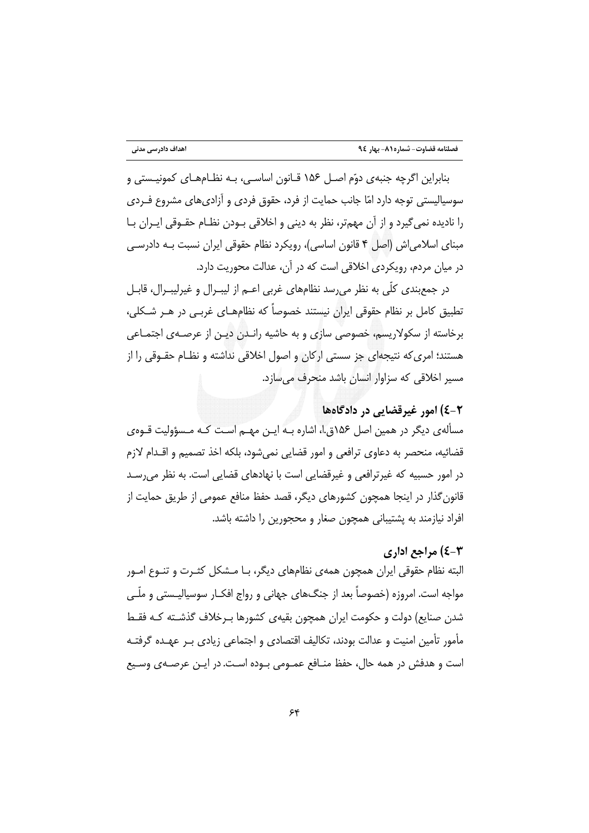بنابراین اگرچه جنبهی دوّم اصـل ۱۵۶ قـانون اساسـی، بـه نظـامهـای کمونیـستی و سوسیالیستی توجه دارد امّا جانب حمایت از فرد، حقوق فردی و آزادیهای مشروع فـردی را نادیده نمی گیرد و از آن مهمتر، نظر به دینی و اخلاقی بـودن نظـام حقـوقی ایـران بـا مبنای اسلامی اش (اصل ۴ قانون اساسی)، رویکرد نظام حقوقی ایران نسبت بـه دادرسـی در میان مردم، رویکردی اخلاقی است که در آن، عدالت محوریت دارد.

در جمع بندی کلّی به نظر می٫سد نظامهای غربی اعـم از لیبـرال و غیرلیبـرال، قابـل تطبیق کامل بر نظام حقوقی ایران نیستند خصوصاً که نظامهـای غربـی در هــر شــکلی، برخاسته از سکولاریسم، خصوصی سازی و به حاشیه رانـدن دیـن از عرصـهی اجتمـاعی هستند؛ امری که نتیجهای جز سستی ارکان و اصول اخلاقی نداشته و نظـام حقـوقی را از مسیر اخلاقی که سزاوار انسان باشد منحرف می سازد.

### ٤-٢) امور غيرقضايي در دادگاهها

مسألهي ديگر در همين اصل ۱۵۶ق.ا، اشاره بـه ايـن مهـم اسـت كـه مـسؤوليت قـوهي قضائيه، منحصر به دعاوى ترافعي و امور قضايي نمي شود، بلكه اخذ تصميم و اقــدام لازم در امور حسبیه که غیرترافعی و غیرقضایی است با نهادهای قضایی است. به نظر می رسـد قانون گذار در اینجا همچون کشورهای دیگر، قصد حفظ منافع عمومی از طریق حمایت از افراد نیازمند به پشتیبانی همچون صغار و محجورین را داشته باشد.

#### **۳-٤) مراجع اداري**

البته نظام حقوقی ایران همچون همهی نظامهای دیگر، بـا مـشکل کثـرت و تنـوع امـور مواجه است. امروزه (خصوصاً بعد از جنگهای جهانی و رواج افکـار سوسیالیـستی و ملّـی شدن صنایع) دولت و حکومت ایران همچون بقیهی کشورها بـرخلاف گذشـته کـه فقـط مأمور تأمین امنیت و عدالت بودند، تکالیف اقتصادی و اجتماعی زیادی بـر عهـده گرفتـه است و هدفش در همه حال، حفظ منـافع عمـومی بـوده اسـت. در ایـن عرصـهی وسـیع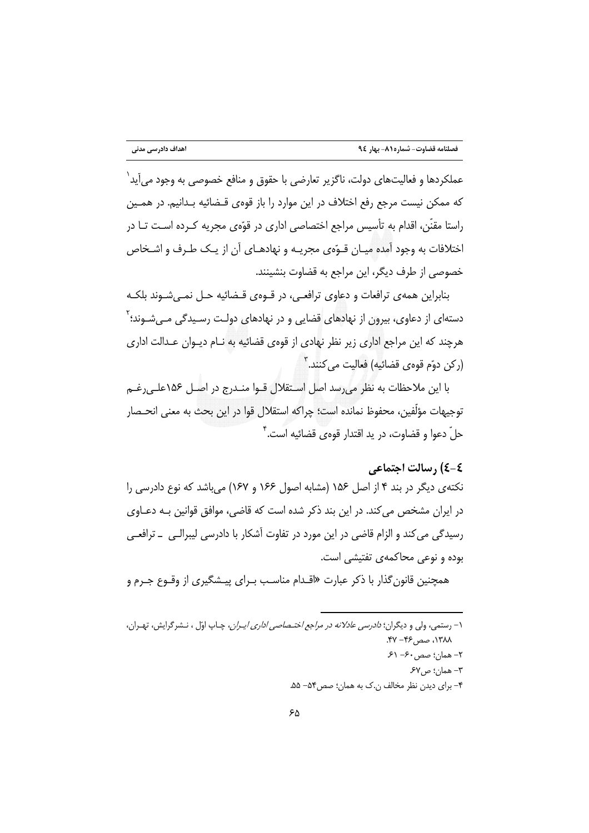عملکردها و فعالیتهای دولت، ناگزیر تعارضی با حقوق و منافع خصوصی به وجود می آید ٔ که ممکن نیست مرجع رفع اختلاف در این موارد را باز قوهی قـضائیه بـدانیم. در همـین راستا مقنّن، اقدام به تأسیس مراجع اختصاصی اداری در قوّهی مجریه کـرده اسـت تـا در اختلافات به وجود آمده میـان قـوّهى مجریـه و نهادهـاى آن از یـک طـرف و اشـخاص خصوصی از طرف دیگر، این مراجع به قضاوت بنشینند.

بنابراین همهی ترافعات و دعاوی ترافعی، در قــوهی قــضائیه حـل نمــیشــوند بلکــه دستهای از دعاوی، بیرون از نهادهای قضایی و در نهادهای دولت رسـیدگی مـی٬شـوند؛ <sup>۲</sup> هرچند که این مراجع اداری زیر نظر نهادی از قوهی قضائیه به نـام دیـوان عـدالت اداری (رکن دوّم قوەي قضائيه) فعاليت مي *ک*نند. <sup>۳</sup>

با این ملاحظات به نظر می رسد اصل استقلال قــوا منــدرج در اصــل ۱۵۶علــی رغــم توجيهات مؤلِّفين، محفوظ نمانده است؛ چراكه استقلال قوا در اين بحث به معنى انحـصار حلّ دعوا و قضاوت، در يد اقتدار قوەي قضائيه است.<sup>۲</sup>

#### ٤-٤) , سالت اجتماعي

نکتهی دیگر در بند ۴ از اصل ۱۵۶ (مشابه اصول ۱۶۶ و ۱۶۷) میباشد که نوع دادرسی را در ایران مشخص می کند. در این بند ذکر شده است که قاضی، موافق قوانین بـه دعـاوی رسیدگی می کند و الزام قاضی در این مورد در تفاوت آشکار با دادرسی لیبرالـی \_ ترافعـی بوده و نوعی محاکمهی تفتیشی است.

همچنین قانون گذار با ذکر عبارت «اقـدام مناسـب بـرای پیـشگیری از وقـوع جـرم و

۱- رستمی، ولی و دیگران؛ *دادرسی عادلانه در مراجع اختـصاصی اداری ایـران*، چـاپ اوّل ، نـشر گرایش، تهـران، ١٣٨٨، صص۴۶– ۴۷.  $5 - 5 - \infty$ : صص ۶۰– ۶۱ ٣- همان؛ ص۶۷.

۴- برای دیدن نظر مخالف ن.ک به همان؛ صص۴۵- ۵۵.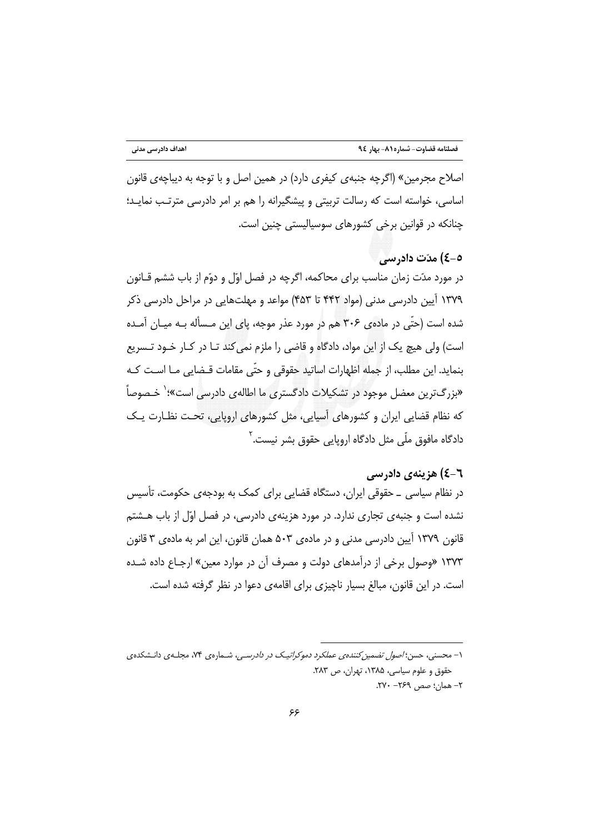اصلاح مجرمین» (اگرچه جنبهی کیفری دارد) در همین اصل و با توجه به دیباچهی قانون اساسی، خواسته است که رسالت تربیتی و پیشگیرانه را هم بر امر دادرسی مترتب نمایـد؛ چنانکه در قوانین برخی کشورهای سوسیالیستی چنین است.

### ٥-٤) مدّت داد, سي

در مورد مدّت زمان مناسب برای محاکمه، اگرچه در فصل اوّل و دوّم از باب ششم قـانون ۱۳۷۹ آیین دادرسی مدنی (مواد ۴۴۲ تا ۴۵۳) مواعد و مهلتهایی در مراحل دادرسی ذکر شده است (حتّی در ماده ی ۳۰۶ هم در مورد عذر موجه، پای این مـسأله بـه میـان آمـده است) ولي هيچ يک از اين مواد، دادگاه و قاضي را ملزم نمي کند تـا در کـار خـود تـسريع بنمايد. اين مطلب، از جمله اظهارات اساتيد حقوقي و حتّى مقامات قـضايي مـا اسـت كـه «بزرگ¤رین معضل موجود در تشکیلات دادگستری ما اطالهی دادرسی است»؛` خـصوصاً که نظام قضایی ایران و کشورهای آسیایی، مثل کشورهای اروپایی، تحت نظـارت یـک دادگاه مافوق ملّی مثل دادگاه اروپایی حقوق بشر نیست.<sup>۲</sup>

# ٦-٤) هزينهي دادرسي

در نظام سیاسی \_ حقوقی ایران، دستگاه قضایی برای کمک به بودجهی حکومت، تأسیس نشده است و جنبه ی تجاری ندارد. در مورد هزینه ی دادرسی، در فصل اوّل از باب هـشتم قانون ١٣٧٩ آيين دادرسي مدني و در مادهي ٥٠٣ همان قانون، اين امر به مادهي ٣ قانون ۱۳۷۳ «وصول برخی از درآمدهای دولت و مصرف آن در موارد معین» ارجـاع داده شـده است. در این قانون، مبالغ بسیار ناچیزی برای اقامهی دعوا در نظر گرفته شده است.

۱- محسنی، حسن؛ *اصول تضمین کنندهی عملکرد دموکراتیک در دادرسی،* شـمارهی ۷۴، مجلـهی دانـشکدهی حقوق و علوم سیاسی، ۱۳۸۵، تهران، ص ۲۸۳. ٢– همان؛ صص ٢٤٩– ٢٧٠.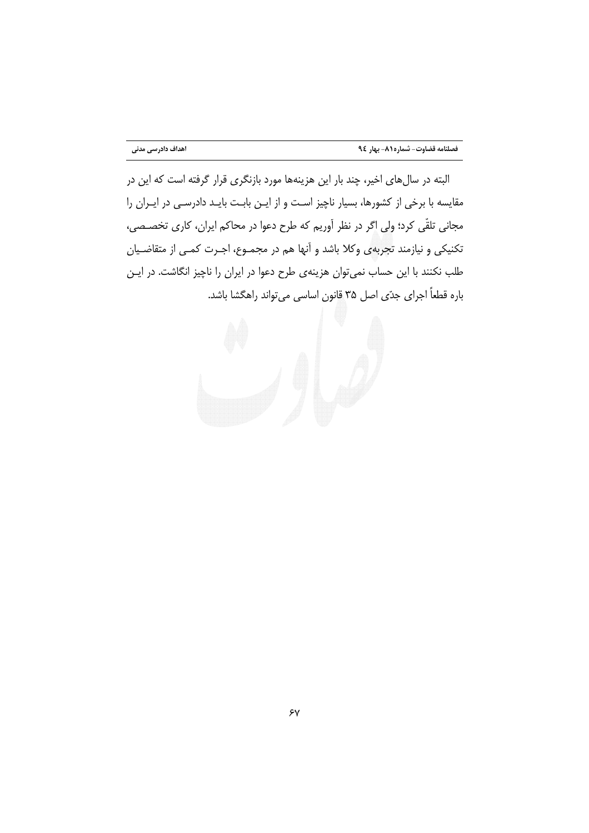البته در سالهای اخیر، چند بار این هزینهها مورد بازنگری قرار گرفته است که این در مقایسه با برخی از کشورها، بسیار ناچیز است و از ایـن بابـت بایـد دادرسـی در ایـران را مجانی تلقّی کرد؛ ولی اگر در نظر آوریم که طرح دعوا در محاکم ایران، کاری تخصـصی، تکنیکی و نیازمند تجربهی وکلا باشد و آنها هم در مجمـوع، اجـرت کمـی از متقاضـیان طلب نکنند با این حساب نمیتوان هزینهی طرح دعوا در ایران را ناچیز انگاشت. در ایـن باره قطعاً اجراي جدّي اصل ٣۵ قانون اساسي ميتواند راهگشا باشد.

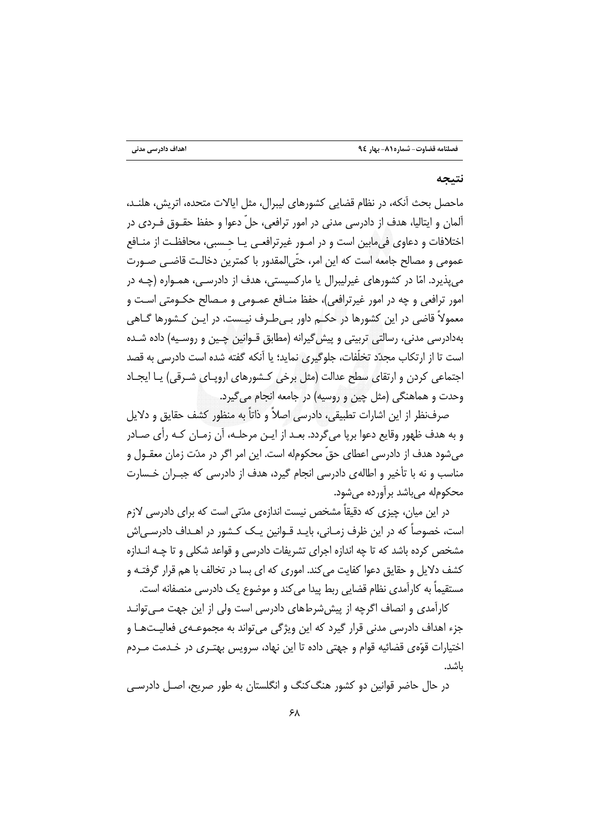#### نتىجە

ماحصل بحث أنكه، در نظام قضایی كشورهای لیبرال، مثل ایالات متحده، اتریش، هلنـد، آلمان و ایتالیا، هدف از دادرسی مدنی در امور ترافعی، حلّ دعوا و حفظ حقـوق فـردی در اختلافات و دعاوی فیمابین است و در امـور غیرترافعـی یـا حـسبی، محافظـت از منـافع عمومي و مصالح جامعه است كه اين امر، حتّىالمقدور با كمترين دخالـت قاضـي صـورت می پذیرد. امّا در کشورهای غیرلیبرال یا مارکسیستی، هدف از دادرسـی، همـواره (چـه در امور ترافعي و چه در امور غيرترافعي)، حفظ منــافع عمــومي و مــصالح حكــومتى اسـت و معمولاً قاضی در این کشورها در حکــم داور بــیطـرف نیـست. در ایــن کــشورها گــاهی بهدادرسی مدنی، رسالتی تربیتی و پیش گیرانه (مطابق قـوانین چـین و روسـیه) داده شـده است تا از ارتکاب مجدّد تخلّفات، جلوگیری نماید؛ یا آنکه گفته شده است دادرسی به قصد اجتماعی کردن و ارتقای سطح عدالت (مثل برخی کـشورهای اروپـای شـرقی) یـا ایجـاد وحدت و هماهنگي (مثل چين و روسيه) در جامعه انجام مي گيرد.

صرف نظر از این اشارات تطبیقی، دادرسی اصلاً و ذاتاً به منظور کشف حقایق و دلایل و به هدف ظهور وقایع دعوا برپا می گردد. بعـد از ایـن مرحلـه، آن زمـان کـه رأی صـادر میشود هدف از دادرسی اعطای حقّ محکومله است. این امر اگر در مدّت زمان معقــول و مناسب و نه با تأخیر و اطالهی دادرسی انجام گیرد، هدف از دادرسی که جب ان خـسارت محکومله می باشد بر آورده می شود.

در این میان، چیزی که دقیقاً مشخص نیست اندازهی مدّتی است که برای دادرسی لازم است، خصوصاً که در این ظرف زمـانی، بایـد قـوانین یـک کـشور در اهـداف دادرسـی|ش مشخص کرده باشد که تا چه اندازه اجرای تشریفات دادرسی و قواعد شکلی و تا چـه انـدازه کشف دلایل و حقایق دعوا کفایت می کند. اموری که ای بسا در تخالف با هم قرار گرفتـه و مستقیماً به کاراًمدی نظام قضایی ربط پیدا می کند و موضوع یک دادرسی منصفانه است.

کارآمدی و انصاف اگرچه از پیششرطهای دادرسی است ولی از این جهت مـیتوانـد جزء اهداف دادرسی مدنی قرار گیرد که این ویژگی میتواند به مجموعـهی فعالیـتهـا و اختیارات قوّهی قضائیه قوام و جهتی داده تا این نهاد، سرویس بهتـری در خـدمت مـردم ىاشد.

در حال حاضر قوانین دو کشور هنگ کنگ و انگلستان به طور صریح، اصـل دادرسـی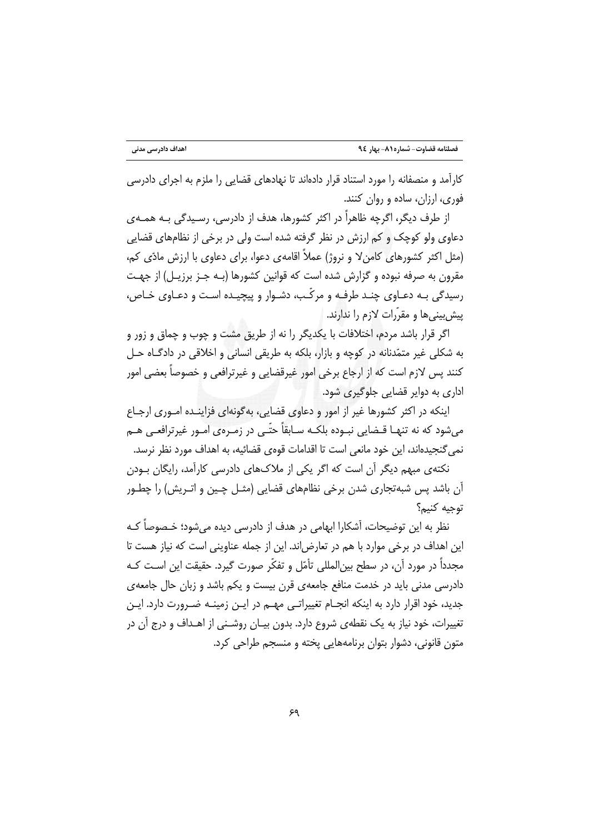کارآمد و منصفانه را مورد استناد قرار دادهاند تا نهادهای قضایی را ملزم به اجرای دادرسی فوري، ارزان، ساده و روان كنند.

از طرف دیگر، اگرچه ظاهراً در اکثر کشورها، هدف از دادرسی، رسـیدگی بـه همـهی دعاوی ولو کوچک و کم ارزش در نظر گرفته شده است ولی در برخی از نظامهای قضایی (مثل اکثر کشورهای کامنٍ لا و نروژ) عملاً اقامهی دعوا، برای دعاوی با ارزش مادّی کم، مقرون به صرفه نبوده و گزارش شده است که قوانین کشورها (بـه جـز برزیـل) از جهـت رسیدگی بـه دعـاوی چنـد طرفـه و مرکّـب، دشـوار و پیچیـده اسـت و دعـاوی خـاص، پیش بینی ها و مقرّرات لازم را ندارند.

اگر قرار باشد مردم، اختلافات با یکدیگر را نه از طریق مشت و چوب و چماق و زور و به شکلي غير متمّدنانه در کوچه و بازار، بلکه به طريقي انساني و اخلاقي در دادگـاه حـل کنند پس لازم است که از ارجاع برخی امور غیرقضایی و غیرترافعی و خصوصاً بعضی امور اداری به دوایر قضایی جلوگیری شود.

اینکه در اکثر کشورها غیر از امور و دعاوی قضایی، بهگونهای فزاینـده امـوری ارجـاع میشود که نه تنهـا قـضایی نبـوده بلکـه سـابقاً حتّـی در زمـرهی امـور غیرترافعـی هـم نمي گنجيدهاند، اين خود مانعي است تا اقدامات قوهي قضائيه، به اهداف مورد نظر نرسد. نکتهی مبهم دیگر آن است که اگر یکی از ملاکهای دادرسی کارآمد، رایگان بـودن

آن باشد پس شبهتجاري شدن برخي نظامهاي قضايي (مثـل چـين و اتـريش) را چطـور توحيه كنيم؟

نظر به این توضیحات، آشکارا ابهامی در هدف از دادرسی دیده می شود؛ خـصوصاً کـه این اهداف در برخی موارد با هم در تعارض اند. این از جمله عناوینی است که نیاز هست تا مجدداً در مورد آن، در سطح بین|لمللی تأمّل و تفکّر صورت گیرد. حقیقت این اسـت کـه دادرسی مدنی باید در خدمت منافع جامعهی قرن بیست و یکم باشد و زبان حال جامعهی جدید، خود اقرار دارد به اینکه انجـام تغییراتـی مهـم در ایـن زمینـه ضـرورت دارد. ایـن تغییرات، خود نیاز به یک نقطهی شروع دارد. بدون بیـان روشـنی از اهــداف و درج آن در متون قانونی، دشوار بتوان برنامههایی یخته و منسجم طراحی کرد.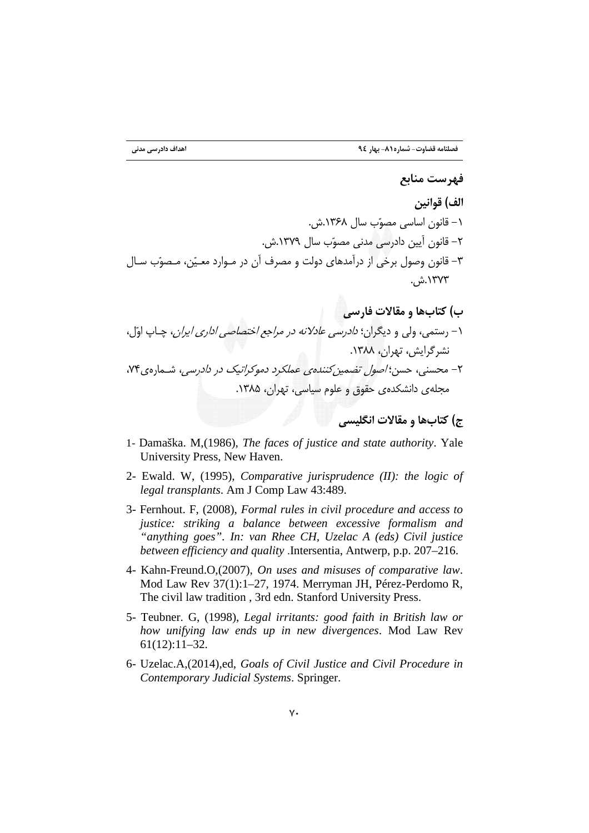- 1- Damaška. M, (1986), The faces of justice and state authority. Yale University Press, New Haven.
- 2- Ewald. W, (1995), *Comparative jurisprudence*  $(II)$ : the logic of legal transplants. Am J Comp Law 43:489.
- 3- Fernhout. F, (2008), Formal rules in civil procedure and access to justice: striking a balance between excessive formalism and "anything goes". In: van Rhee CH, Uzelac A (eds) Civil justice between efficiency and quality .Intersentia, Antwerp, p.p. 207-216.
- 4- Kahn-Freund.O,(2007), On uses and misuses of comparative law. Mod Law Rev 37(1):1-27, 1974. Merryman JH, Pérez-Perdomo R, The civil law tradition, 3rd edn. Stanford University Press.
- 5- Teubner. G, (1998), Legal irritants: good faith in British law or how unifying law ends up in new divergences. Mod Law Rev  $61(12):11-32.$
- 6- Uzelac.A,(2014),ed, Goals of Civil Justice and Civil Procedure in Contemporary Judicial Systems. Springer.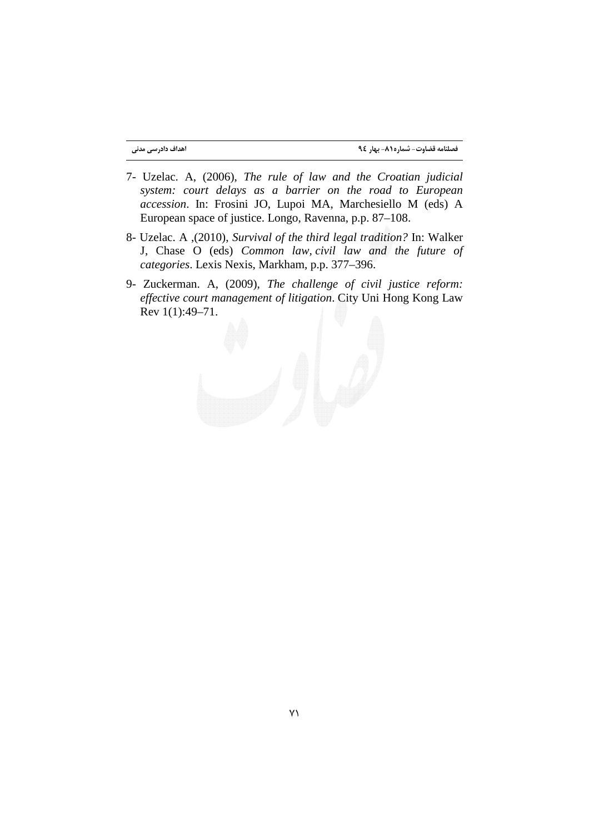- 7- Uzelac. A, (2006), *The rule of law and the Croatian judicial system: court delays as a barrier on the road to European accession*. In: Frosini JO, Lupoi MA, Marchesiello M (eds) A European space of justice. Longo, Ravenna, p.p. 87–108.
- 8- Uzelac. A ,(2010), *Survival of the third legal tradition?* In: Walker J, Chase O (eds) *Common law, civil law and the future of categories*. Lexis Nexis, Markham, p.p. 377–396.
- 9- Zuckerman. A, (2009), *The challenge of civil justice reform: effective court management of litigation*. City Uni Hong Kong Law Rev 1(1):49–71.